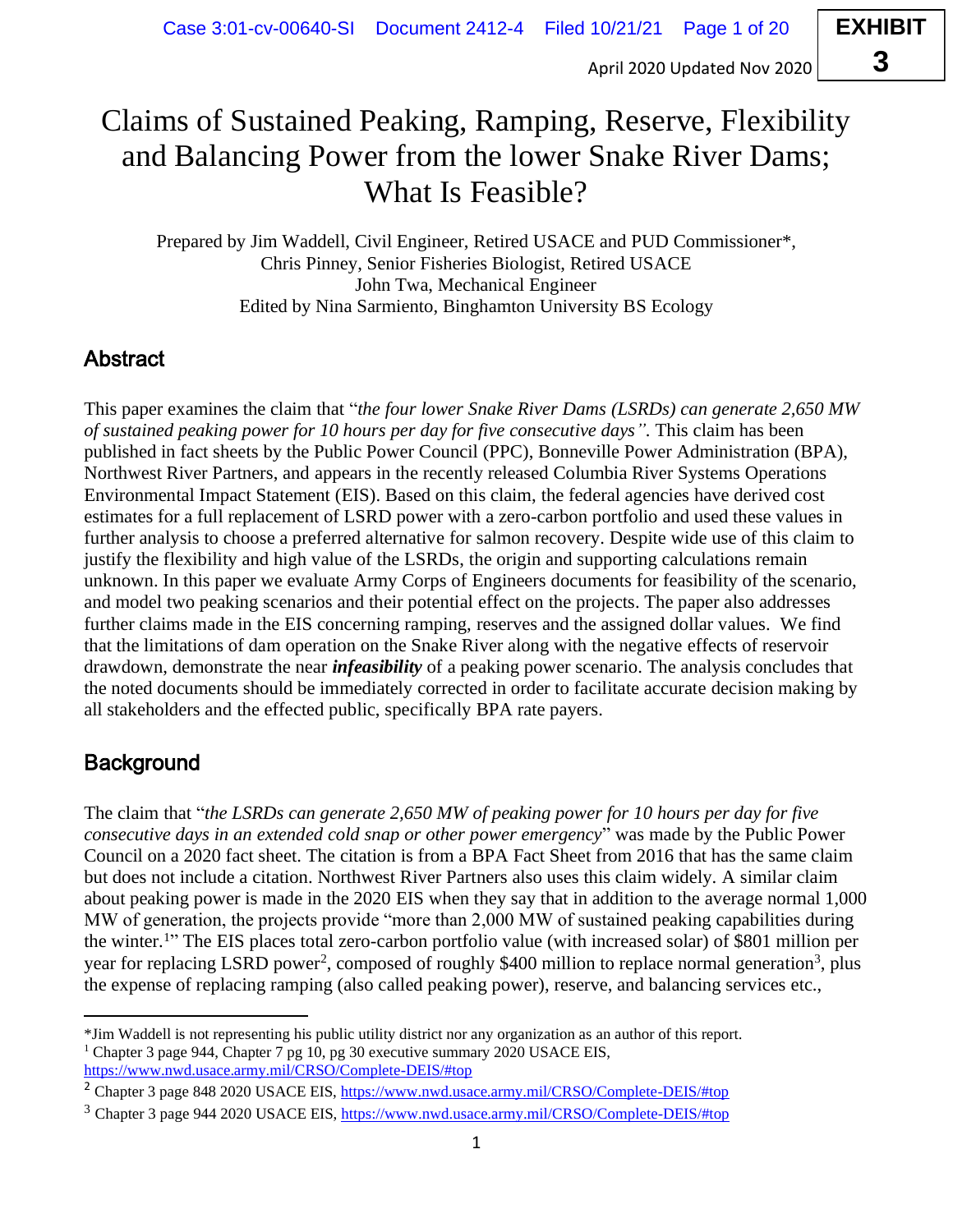# **EXHIBIT 3**

# Claims of Sustained Peaking, Ramping, Reserve, Flexibility and Balancing Power from the lower Snake River Dams; What Is Feasible?

Prepared by Jim Waddell, Civil Engineer, Retired USACE and PUD Commissioner\*, Chris Pinney, Senior Fisheries Biologist, Retired USACE John Twa, Mechanical Engineer Edited by Nina Sarmiento, Binghamton University BS Ecology

# **Abstract**

This paper examines the claim that "*the four lower Snake River Dams (LSRDs) can generate 2,650 MW of sustained peaking power for 10 hours per day for five consecutive days".* This claim has been published in fact sheets by the Public Power Council (PPC), Bonneville Power Administration (BPA), Northwest River Partners, and appears in the recently released Columbia River Systems Operations Environmental Impact Statement (EIS). Based on this claim, the federal agencies have derived cost estimates for a full replacement of LSRD power with a zero-carbon portfolio and used these values in further analysis to choose a preferred alternative for salmon recovery. Despite wide use of this claim to justify the flexibility and high value of the LSRDs, the origin and supporting calculations remain unknown. In this paper we evaluate Army Corps of Engineers documents for feasibility of the scenario, and model two peaking scenarios and their potential effect on the projects. The paper also addresses further claims made in the EIS concerning ramping, reserves and the assigned dollar values. We find that the limitations of dam operation on the Snake River along with the negative effects of reservoir drawdown, demonstrate the near *infeasibility* of a peaking power scenario. The analysis concludes that the noted documents should be immediately corrected in order to facilitate accurate decision making by all stakeholders and the effected public, specifically BPA rate payers.

## **Background**

The claim that "*the LSRDs can generate 2,650 MW of peaking power for 10 hours per day for five consecutive days in an extended cold snap or other power emergency*" was made by the Public Power Council on a 2020 fact sheet. The citation is from a BPA Fact Sheet from 2016 that has the same claim but does not include a citation. Northwest River Partners also uses this claim widely. A similar claim about peaking power is made in the 2020 EIS when they say that in addition to the average normal 1,000 MW of generation, the projects provide "more than 2,000 MW of sustained peaking capabilities during the winter.<sup>1</sup> " The EIS places total zero-carbon portfolio value (with increased solar) of \$801 million per year for replacing LSRD power<sup>2</sup>, composed of roughly \$400 million to replace normal generation<sup>3</sup>, plus the expense of replacing ramping (also called peaking power), reserve, and balancing services etc.,

<sup>\*</sup>Jim Waddell is not representing his public utility district nor any organization as an author of this report. <sup>1</sup> Chapter 3 page 944, Chapter 7 pg 10, pg 30 executive summary 2020 USACE EIS, https://www.nwd.usace.army.mil/CRSO/Complete-DEIS/#top

<sup>2</sup> Chapter 3 page 848 2020 USACE EIS, https://www.nwd.usace.army.mil/CRSO/Complete-DEIS/#top

<sup>3</sup> Chapter 3 page 944 2020 USACE EIS, https://www.nwd.usace.army.mil/CRSO/Complete-DEIS/#top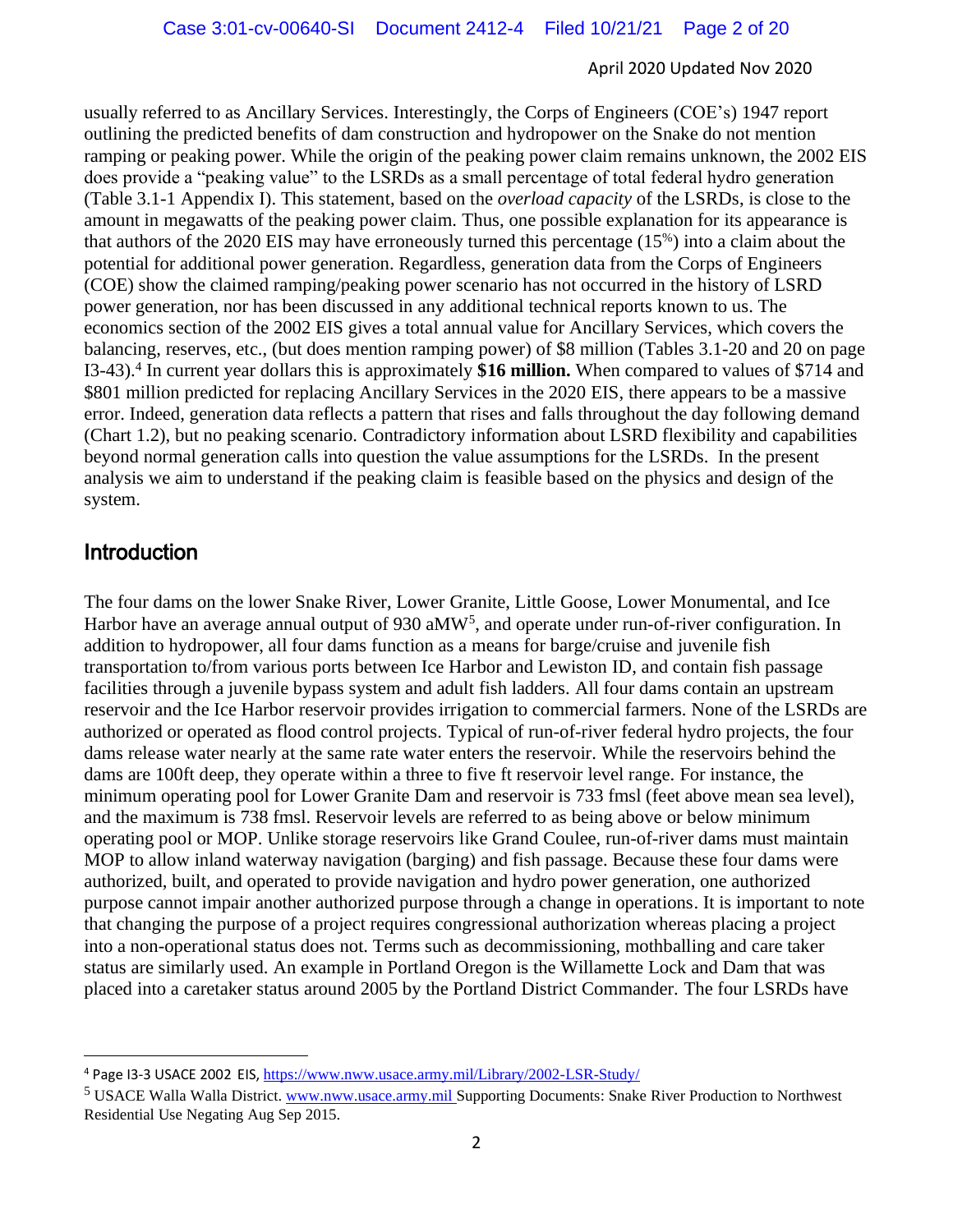usually referred to as Ancillary Services. Interestingly, the Corps of Engineers (COE's) 1947 report outlining the predicted benefits of dam construction and hydropower on the Snake do not mention ramping or peaking power. While the origin of the peaking power claim remains unknown, the 2002 EIS does provide a "peaking value" to the LSRDs as a small percentage of total federal hydro generation (Table 3.1-1 Appendix I). This statement, based on the *overload capacity* of the LSRDs, is close to the amount in megawatts of the peaking power claim. Thus, one possible explanation for its appearance is that authors of the 2020 EIS may have erroneously turned this percentage (15%) into a claim about the potential for additional power generation. Regardless, generation data from the Corps of Engineers (COE) show the claimed ramping/peaking power scenario has not occurred in the history of LSRD power generation, nor has been discussed in any additional technical reports known to us. The economics section of the 2002 EIS gives a total annual value for Ancillary Services, which covers the balancing, reserves, etc., (but does mention ramping power) of \$8 million (Tables 3.1-20 and 20 on page I3-43).<sup>4</sup> In current year dollars this is approximately **\$16 million.** When compared to values of \$714 and \$801 million predicted for replacing Ancillary Services in the 2020 EIS, there appears to be a massive error. Indeed, generation data reflects a pattern that rises and falls throughout the day following demand (Chart 1.2), but no peaking scenario. Contradictory information about LSRD flexibility and capabilities beyond normal generation calls into question the value assumptions for the LSRDs. In the present analysis we aim to understand if the peaking claim is feasible based on the physics and design of the system.

### Introduction

The four dams on the lower Snake River, Lower Granite, Little Goose, Lower Monumental, and Ice Harbor have an average annual output of 930 aMW<sup>5</sup>, and operate under run-of-river configuration. In addition to hydropower, all four dams function as a means for barge/cruise and juvenile fish transportation to/from various ports between Ice Harbor and Lewiston ID, and contain fish passage facilities through a juvenile bypass system and adult fish ladders. All four dams contain an upstream reservoir and the Ice Harbor reservoir provides irrigation to commercial farmers. None of the LSRDs are authorized or operated as flood control projects. Typical of run-of-river federal hydro projects, the four dams release water nearly at the same rate water enters the reservoir. While the reservoirs behind the dams are 100ft deep, they operate within a three to five ft reservoir level range. For instance, the minimum operating pool for Lower Granite Dam and reservoir is 733 fmsl (feet above mean sea level), and the maximum is 738 fmsl. Reservoir levels are referred to as being above or below minimum operating pool or MOP. Unlike storage reservoirs like Grand Coulee, run-of-river dams must maintain MOP to allow inland waterway navigation (barging) and fish passage. Because these four dams were authorized, built, and operated to provide navigation and hydro power generation, one authorized purpose cannot impair another authorized purpose through a change in operations. It is important to note that changing the purpose of a project requires congressional authorization whereas placing a project into a non-operational status does not. Terms such as decommissioning, mothballing and care taker status are similarly used. An example in Portland Oregon is the Willamette Lock and Dam that was placed into a caretaker status around 2005 by the Portland District Commander. The four LSRDs have

<sup>4</sup> Page I3-3 USACE 2002 EIS, https://www.nww.usace.army.mil/Library/2002-LSR-Study/

<sup>5</sup> USACE Walla Walla District. www.nww.usace.army.mil Supporting Documents: Snake River Production to Northwest Residential Use Negating Aug Sep 2015.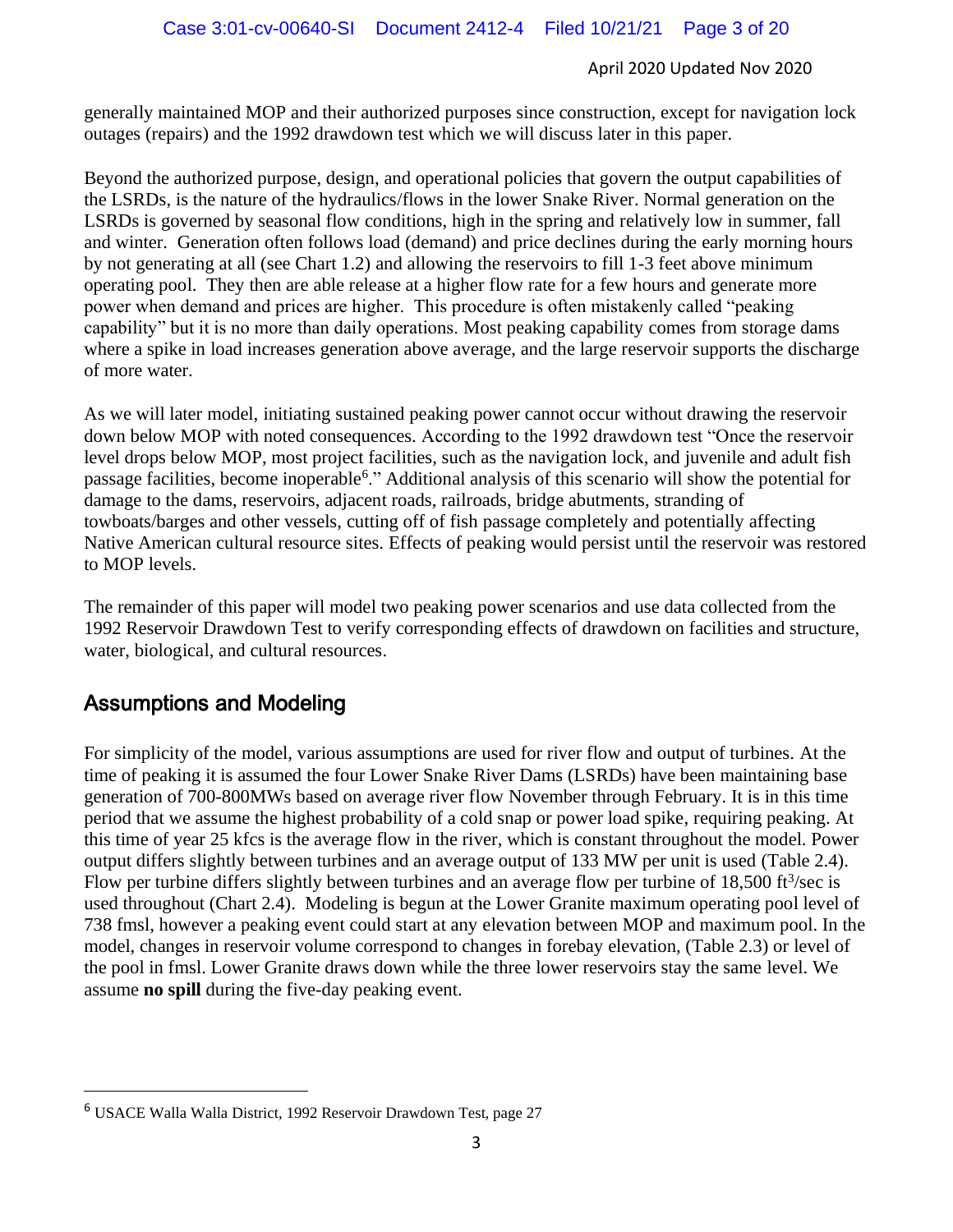generally maintained MOP and their authorized purposes since construction, except for navigation lock outages (repairs) and the 1992 drawdown test which we will discuss later in this paper.

Beyond the authorized purpose, design, and operational policies that govern the output capabilities of the LSRDs, is the nature of the hydraulics/flows in the lower Snake River. Normal generation on the LSRDs is governed by seasonal flow conditions, high in the spring and relatively low in summer, fall and winter. Generation often follows load (demand) and price declines during the early morning hours by not generating at all (see Chart 1.2) and allowing the reservoirs to fill 1-3 feet above minimum operating pool. They then are able release at a higher flow rate for a few hours and generate more power when demand and prices are higher. This procedure is often mistakenly called "peaking capability" but it is no more than daily operations. Most peaking capability comes from storage dams where a spike in load increases generation above average, and the large reservoir supports the discharge of more water.

As we will later model, initiating sustained peaking power cannot occur without drawing the reservoir down below MOP with noted consequences. According to the 1992 drawdown test "Once the reservoir level drops below MOP, most project facilities, such as the navigation lock, and juvenile and adult fish passage facilities, become inoperable<sup>6</sup>." Additional analysis of this scenario will show the potential for damage to the dams, reservoirs, adjacent roads, railroads, bridge abutments, stranding of towboats/barges and other vessels, cutting off of fish passage completely and potentially affecting Native American cultural resource sites. Effects of peaking would persist until the reservoir was restored to MOP levels.

The remainder of this paper will model two peaking power scenarios and use data collected from the 1992 Reservoir Drawdown Test to verify corresponding effects of drawdown on facilities and structure, water, biological, and cultural resources.

### Assumptions and Modeling

For simplicity of the model, various assumptions are used for river flow and output of turbines. At the time of peaking it is assumed the four Lower Snake River Dams (LSRDs) have been maintaining base generation of 700-800MWs based on average river flow November through February. It is in this time period that we assume the highest probability of a cold snap or power load spike, requiring peaking. At this time of year 25 kfcs is the average flow in the river, which is constant throughout the model. Power output differs slightly between turbines and an average output of 133 MW per unit is used (Table 2.4). Flow per turbine differs slightly between turbines and an average flow per turbine of  $18,500$  ft $\frac{3}{sec}$  is used throughout (Chart 2.4). Modeling is begun at the Lower Granite maximum operating pool level of 738 fmsl, however a peaking event could start at any elevation between MOP and maximum pool. In the model, changes in reservoir volume correspond to changes in forebay elevation, (Table 2.3) or level of the pool in fmsl. Lower Granite draws down while the three lower reservoirs stay the same level. We assume **no spill** during the five-day peaking event.

<sup>6</sup> USACE Walla Walla District, 1992 Reservoir Drawdown Test, page 27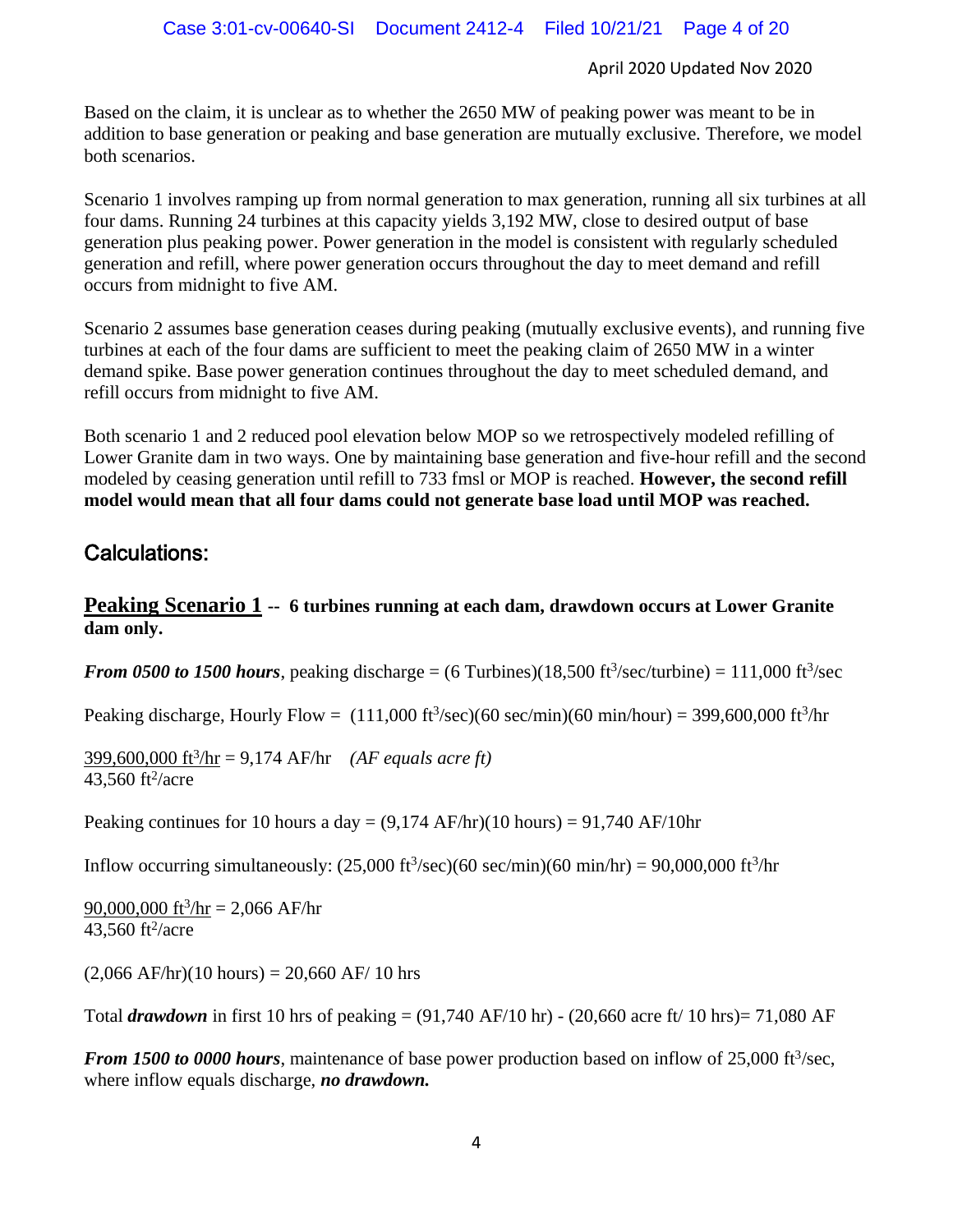Based on the claim, it is unclear as to whether the 2650 MW of peaking power was meant to be in addition to base generation or peaking and base generation are mutually exclusive. Therefore, we model both scenarios.

Scenario 1 involves ramping up from normal generation to max generation, running all six turbines at all four dams. Running 24 turbines at this capacity yields 3,192 MW, close to desired output of base generation plus peaking power. Power generation in the model is consistent with regularly scheduled generation and refill, where power generation occurs throughout the day to meet demand and refill occurs from midnight to five AM.

Scenario 2 assumes base generation ceases during peaking (mutually exclusive events), and running five turbines at each of the four dams are sufficient to meet the peaking claim of 2650 MW in a winter demand spike. Base power generation continues throughout the day to meet scheduled demand, and refill occurs from midnight to five AM.

Both scenario 1 and 2 reduced pool elevation below MOP so we retrospectively modeled refilling of Lower Granite dam in two ways. One by maintaining base generation and five-hour refill and the second modeled by ceasing generation until refill to 733 fmsl or MOP is reached. **However, the second refill model would mean that all four dams could not generate base load until MOP was reached.**

### Calculations:

### **Peaking Scenario 1 -- 6 turbines running at each dam, drawdown occurs at Lower Granite dam only.**

*From 0500 to 1500 hours*, peaking discharge =  $(6 \text{ Turbines})$  $(18,500 \text{ ft}^3/\text{sec}/\text{turbine}) = 111,000 \text{ ft}^3/\text{sec}$ 

Peaking discharge, Hourly Flow =  $(111,000 \text{ ft}^3/\text{sec})$  (60 sec/min) (60 min/hour) = 399,600,000 ft $3/\text{hr}$ 

399,600,000 ft<sup>3</sup> /hr = 9,174 AF/hr *(AF equals acre ft)*  $43,560$  ft<sup>2</sup>/acre

Peaking continues for 10 hours a day =  $(9,174 \text{ AF/hr})$ (10 hours) = 91,740 AF/10hr

Inflow occurring simultaneously:  $(25,000 \text{ ft}^3/\text{sec})(60 \text{ sec/min})(60 \text{ min/hr}) = 90,000,000 \text{ ft}^3/\text{hr}$ 

 $90,000,000$  ft<sup>3</sup>/hr = 2,066 AF/hr  $43,560$  ft<sup>2</sup>/acre

 $(2,066$  AF/hr) $(10$  hours) = 20,660 AF/ 10 hrs

Total *drawdown* in first 10 hrs of peaking = (91,740 AF/10 hr) - (20,660 acre ft/ 10 hrs)= 71,080 AF

*From 1500 to 0000 hours*, maintenance of base power production based on inflow of 25,000 ft<sup>3</sup>/sec, where inflow equals discharge, *no drawdown.*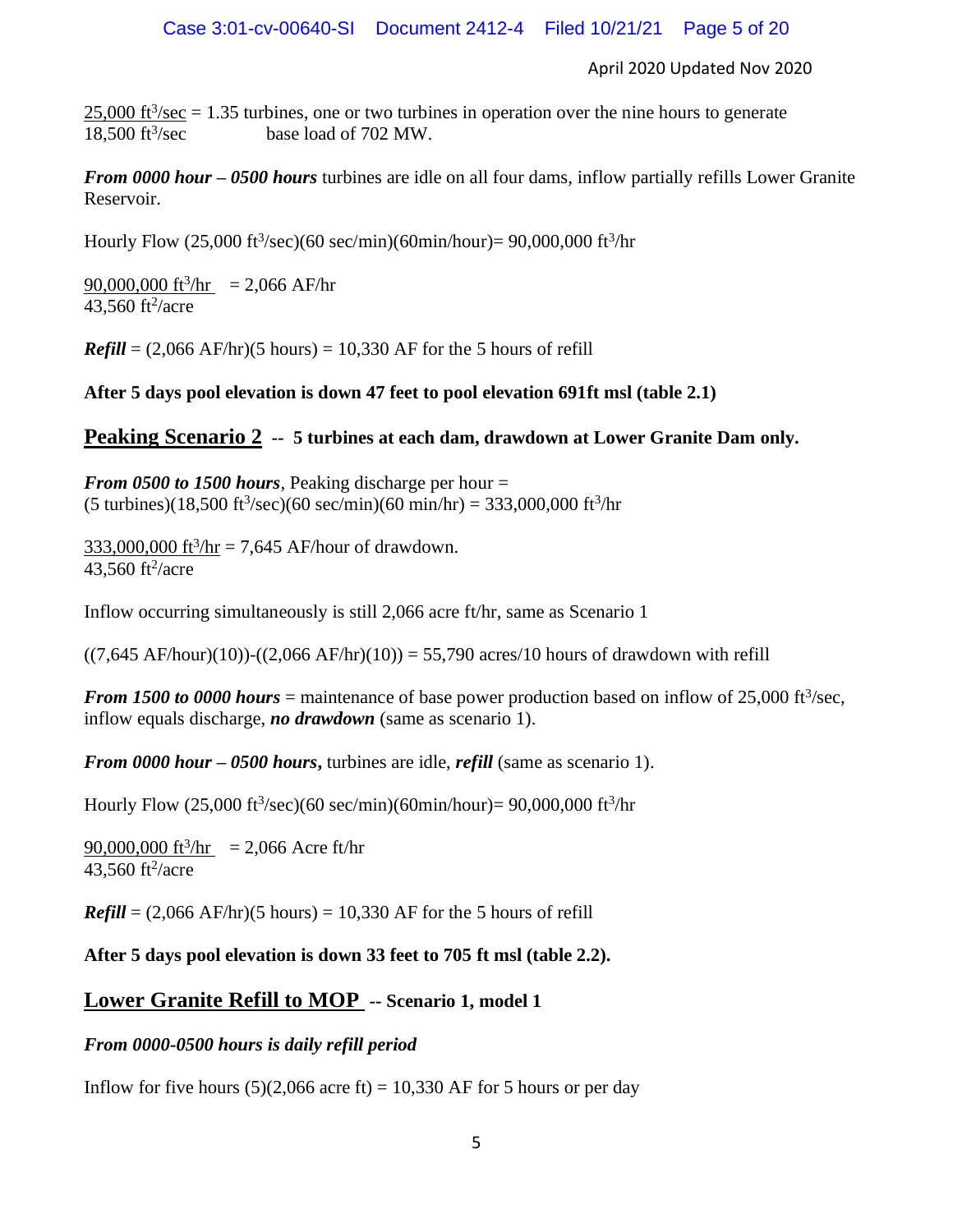$25,000$  ft<sup>3</sup>/sec = 1.35 turbines, one or two turbines in operation over the nine hours to generate  $18,500 \text{ ft}^3/\text{sec}$ base load of 702 MW.

*From 0000 hour – 0500 hours* turbines are idle on all four dams, inflow partially refills Lower Granite Reservoir.

Hourly Flow  $(25,000 \text{ ft}^3/\text{sec})$  $(60 \text{ sec/min})$  $(60 \text{min/hour}) = 90,000,000 \text{ ft}^3/\text{hr}$ 

 $90,000,000$  ft<sup>3</sup>/hr = 2,066 AF/hr  $43,560$  ft<sup>2</sup>/acre

 $\textbf{\textit{Refill}} = (2.066 \text{ AF/hr})(5 \text{ hours}) = 10,330 \text{ AF}$  for the 5 hours of refill

### **After 5 days pool elevation is down 47 feet to pool elevation 691ft msl (table 2.1)**

### **Peaking Scenario 2 -- 5 turbines at each dam, drawdown at Lower Granite Dam only.**

*From 0500 to 1500 hours*, Peaking discharge per hour =  $(5 \text{ turbins})(18,500 \text{ ft}^3/\text{sec})(60 \text{ sec/min})(60 \text{ min/hr}) = 333,000,000 \text{ ft}^3/\text{hr}$ 

 $333,000,000$  ft<sup>3</sup>/hr = 7,645 AF/hour of drawdown.  $43,560$  ft<sup>2</sup>/acre

Inflow occurring simultaneously is still 2,066 acre ft/hr, same as Scenario 1

 $((7,645 \text{ AF/hour})(10))$ - $((2,066 \text{ AF/hr})(10))$  = 55,790 acres/10 hours of drawdown with refill

*From 1500 to 0000 hours* = maintenance of base power production based on inflow of 25,000 ft<sup>3</sup>/sec, inflow equals discharge, *no drawdown* (same as scenario 1).

*From 0000 hour – 0500 hours***,** turbines are idle, *refill* (same as scenario 1).

Hourly Flow (25,000 ft<sup>3</sup>/sec)(60 sec/min)(60min/hour)= 90,000,000 ft<sup>3</sup>/hr

 $90,000,000$  ft<sup>3</sup>/hr = 2,066 Acre ft/hr  $43,560$  ft<sup>2</sup>/acre

 $\textbf{\textit{Refill}} = (2,066 \text{ AF/hr})(5 \text{ hours}) = 10,330 \text{ AF}$  for the 5 hours of refill

**After 5 days pool elevation is down 33 feet to 705 ft msl (table 2.2).** 

### **Lower Granite Refill to MOP -- Scenario 1, model 1**

### *From 0000-0500 hours is daily refill period*

Inflow for five hours  $(5)(2,066$  acre ft) = 10,330 AF for 5 hours or per day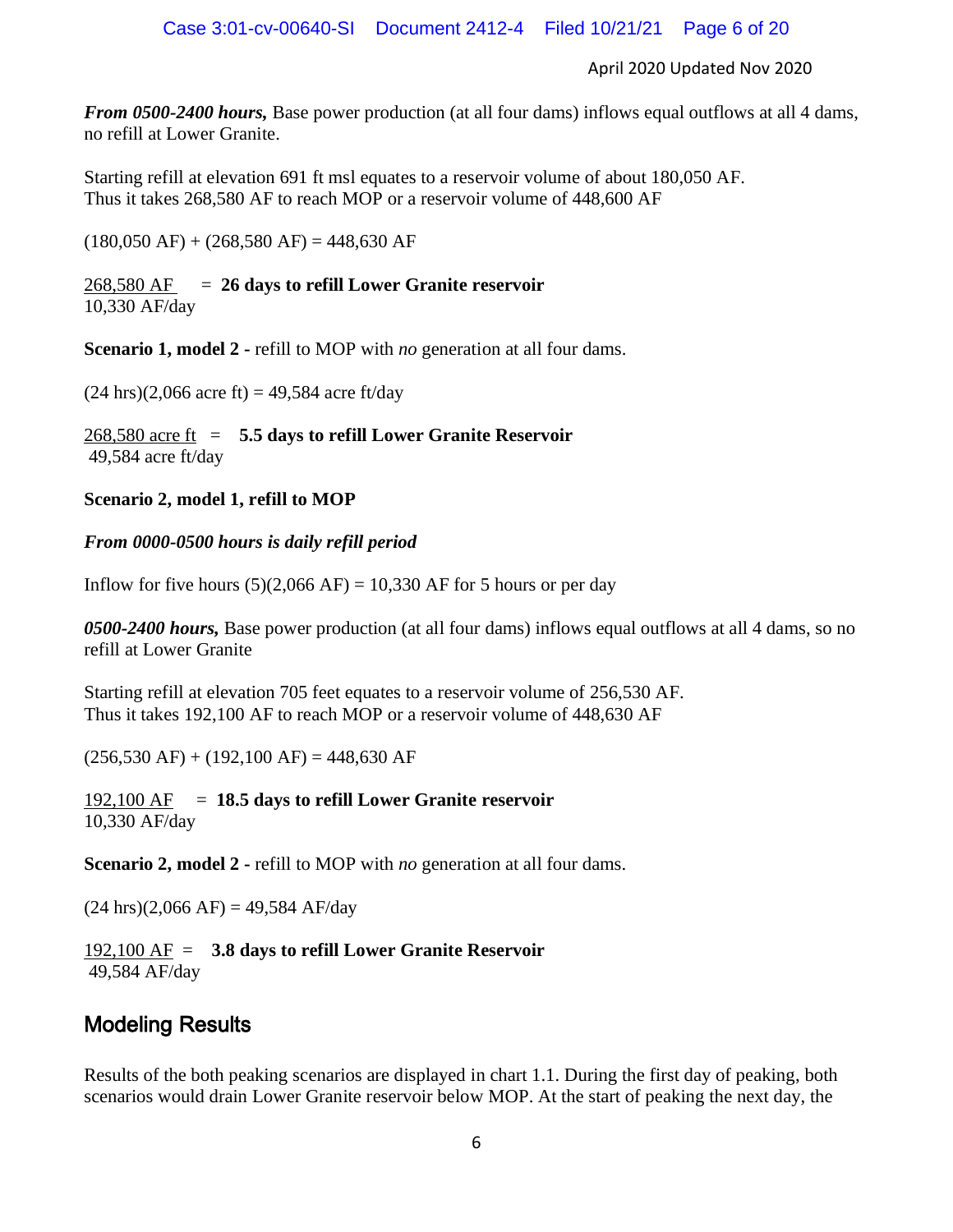*From 0500-2400 hours,* Base power production (at all four dams) inflows equal outflows at all 4 dams, no refill at Lower Granite.

Starting refill at elevation 691 ft msl equates to a reservoir volume of about 180,050 AF. Thus it takes 268,580 AF to reach MOP or a reservoir volume of 448,600 AF

 $(180,050 \text{ AF}) + (268,580 \text{ AF}) = 448,630 \text{ AF}$ 

### 268,580 AF = **26 days to refill Lower Granite reservoir** 10,330 AF/day

**Scenario 1, model 2 -** refill to MOP with *no* generation at all four dams.

 $(24 \text{ hrs})$  $(2,066 \text{ acre ft}) = 49,584 \text{ acre ft/day}$ 

268,580 acre ft = **5.5 days to refill Lower Granite Reservoir** 49,584 acre ft/day

### **Scenario 2, model 1, refill to MOP**

### *From 0000-0500 hours is daily refill period*

Inflow for five hours  $(5)(2,066 \text{ AF}) = 10,330 \text{ AF}$  for 5 hours or per day

*0500-2400 hours,* Base power production (at all four dams) inflows equal outflows at all 4 dams, so no refill at Lower Granite

Starting refill at elevation 705 feet equates to a reservoir volume of 256,530 AF. Thus it takes 192,100 AF to reach MOP or a reservoir volume of 448,630 AF

 $(256,530 \text{ AF}) + (192,100 \text{ AF}) = 448,630 \text{ AF}$ 

192,100 AF = **18.5 days to refill Lower Granite reservoir** 10,330 AF/day

**Scenario 2, model 2 -** refill to MOP with *no* generation at all four dams.

 $(24 \text{ hrs})$  $(2,066 \text{ AF})$  = 49,584 AF/day

### 192,100 AF = **3.8 days to refill Lower Granite Reservoir** 49,584 AF/day

### Modeling Results

Results of the both peaking scenarios are displayed in chart 1.1. During the first day of peaking, both scenarios would drain Lower Granite reservoir below MOP. At the start of peaking the next day, the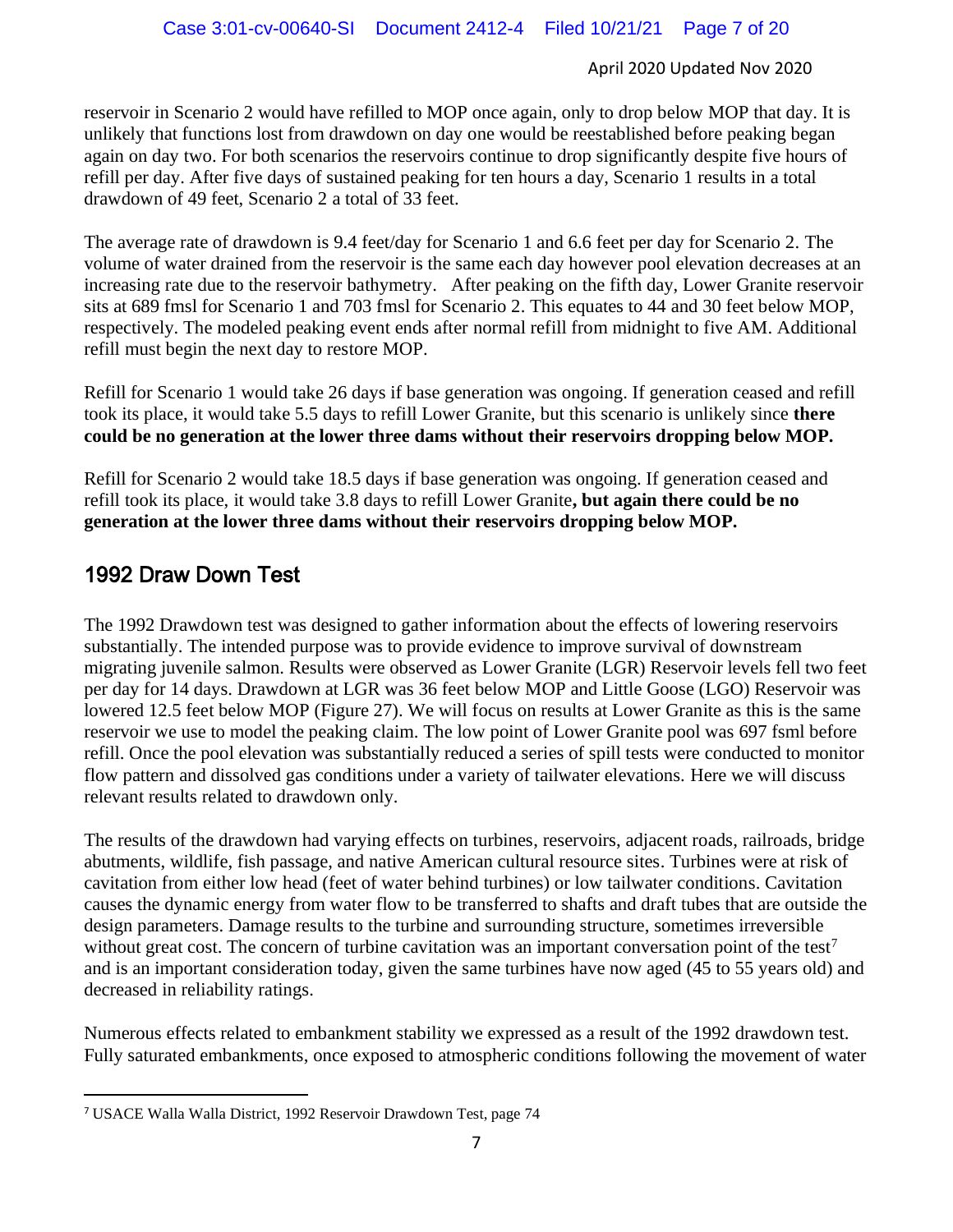reservoir in Scenario 2 would have refilled to MOP once again, only to drop below MOP that day. It is unlikely that functions lost from drawdown on day one would be reestablished before peaking began again on day two. For both scenarios the reservoirs continue to drop significantly despite five hours of refill per day. After five days of sustained peaking for ten hours a day, Scenario 1 results in a total drawdown of 49 feet, Scenario 2 a total of 33 feet.

The average rate of drawdown is 9.4 feet/day for Scenario 1 and 6.6 feet per day for Scenario 2. The volume of water drained from the reservoir is the same each day however pool elevation decreases at an increasing rate due to the reservoir bathymetry. After peaking on the fifth day, Lower Granite reservoir sits at 689 fmsl for Scenario 1 and 703 fmsl for Scenario 2. This equates to 44 and 30 feet below MOP, respectively. The modeled peaking event ends after normal refill from midnight to five AM. Additional refill must begin the next day to restore MOP.

Refill for Scenario 1 would take 26 days if base generation was ongoing. If generation ceased and refill took its place, it would take 5.5 days to refill Lower Granite, but this scenario is unlikely since **there could be no generation at the lower three dams without their reservoirs dropping below MOP.**

Refill for Scenario 2 would take 18.5 days if base generation was ongoing. If generation ceased and refill took its place, it would take 3.8 days to refill Lower Granite**, but again there could be no generation at the lower three dams without their reservoirs dropping below MOP.**

### 1992 Draw Down Test

The 1992 Drawdown test was designed to gather information about the effects of lowering reservoirs substantially. The intended purpose was to provide evidence to improve survival of downstream migrating juvenile salmon. Results were observed as Lower Granite (LGR) Reservoir levels fell two feet per day for 14 days. Drawdown at LGR was 36 feet below MOP and Little Goose (LGO) Reservoir was lowered 12.5 feet below MOP (Figure 27). We will focus on results at Lower Granite as this is the same reservoir we use to model the peaking claim. The low point of Lower Granite pool was 697 fsml before refill. Once the pool elevation was substantially reduced a series of spill tests were conducted to monitor flow pattern and dissolved gas conditions under a variety of tailwater elevations. Here we will discuss relevant results related to drawdown only.

The results of the drawdown had varying effects on turbines, reservoirs, adjacent roads, railroads, bridge abutments, wildlife, fish passage, and native American cultural resource sites. Turbines were at risk of cavitation from either low head (feet of water behind turbines) or low tailwater conditions. Cavitation causes the dynamic energy from water flow to be transferred to shafts and draft tubes that are outside the design parameters. Damage results to the turbine and surrounding structure, sometimes irreversible without great cost. The concern of turbine cavitation was an important conversation point of the test<sup>7</sup> and is an important consideration today, given the same turbines have now aged (45 to 55 years old) and decreased in reliability ratings.

Numerous effects related to embankment stability we expressed as a result of the 1992 drawdown test. Fully saturated embankments, once exposed to atmospheric conditions following the movement of water

<sup>7</sup> USACE Walla Walla District, 1992 Reservoir Drawdown Test, page 74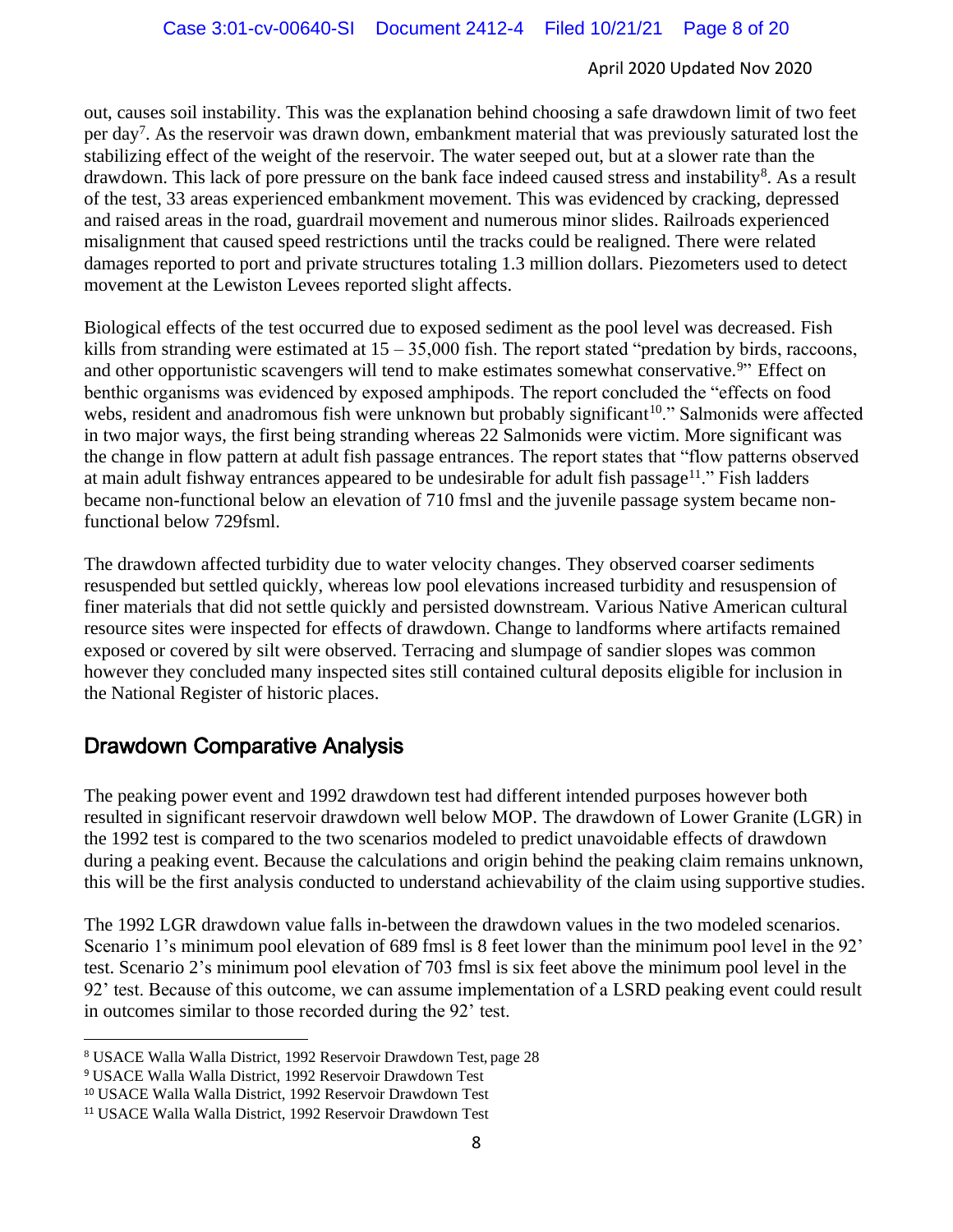out, causes soil instability. This was the explanation behind choosing a safe drawdown limit of two feet per day<sup>7</sup>. As the reservoir was drawn down, embankment material that was previously saturated lost the stabilizing effect of the weight of the reservoir. The water seeped out, but at a slower rate than the drawdown. This lack of pore pressure on the bank face indeed caused stress and instability<sup>8</sup>. As a result of the test, 33 areas experienced embankment movement. This was evidenced by cracking, depressed and raised areas in the road, guardrail movement and numerous minor slides. Railroads experienced misalignment that caused speed restrictions until the tracks could be realigned. There were related damages reported to port and private structures totaling 1.3 million dollars. Piezometers used to detect movement at the Lewiston Levees reported slight affects.

Biological effects of the test occurred due to exposed sediment as the pool level was decreased. Fish kills from stranding were estimated at  $15 - 35,000$  fish. The report stated "predation by birds, raccoons, and other opportunistic scavengers will tend to make estimates somewhat conservative.<sup>9</sup>" Effect on benthic organisms was evidenced by exposed amphipods. The report concluded the "effects on food webs, resident and anadromous fish were unknown but probably significant<sup>10</sup>." Salmonids were affected in two major ways, the first being stranding whereas 22 Salmonids were victim. More significant was the change in flow pattern at adult fish passage entrances. The report states that "flow patterns observed at main adult fishway entrances appeared to be undesirable for adult fish passage<sup>11</sup>." Fish ladders became non-functional below an elevation of 710 fmsl and the juvenile passage system became nonfunctional below 729fsml.

The drawdown affected turbidity due to water velocity changes. They observed coarser sediments resuspended but settled quickly, whereas low pool elevations increased turbidity and resuspension of finer materials that did not settle quickly and persisted downstream. Various Native American cultural resource sites were inspected for effects of drawdown. Change to landforms where artifacts remained exposed or covered by silt were observed. Terracing and slumpage of sandier slopes was common however they concluded many inspected sites still contained cultural deposits eligible for inclusion in the National Register of historic places.

### Drawdown Comparative Analysis

The peaking power event and 1992 drawdown test had different intended purposes however both resulted in significant reservoir drawdown well below MOP. The drawdown of Lower Granite (LGR) in the 1992 test is compared to the two scenarios modeled to predict unavoidable effects of drawdown during a peaking event. Because the calculations and origin behind the peaking claim remains unknown, this will be the first analysis conducted to understand achievability of the claim using supportive studies.

The 1992 LGR drawdown value falls in-between the drawdown values in the two modeled scenarios. Scenario 1's minimum pool elevation of 689 fmsl is 8 feet lower than the minimum pool level in the 92' test. Scenario 2's minimum pool elevation of 703 fmsl is six feet above the minimum pool level in the 92' test. Because of this outcome, we can assume implementation of a LSRD peaking event could result in outcomes similar to those recorded during the 92' test.

<sup>8</sup> USACE Walla Walla District, 1992 Reservoir Drawdown Test, page 28

<sup>9</sup> USACE Walla Walla District, 1992 Reservoir Drawdown Test

<sup>10</sup> USACE Walla Walla District, 1992 Reservoir Drawdown Test

<sup>11</sup> USACE Walla Walla District, 1992 Reservoir Drawdown Test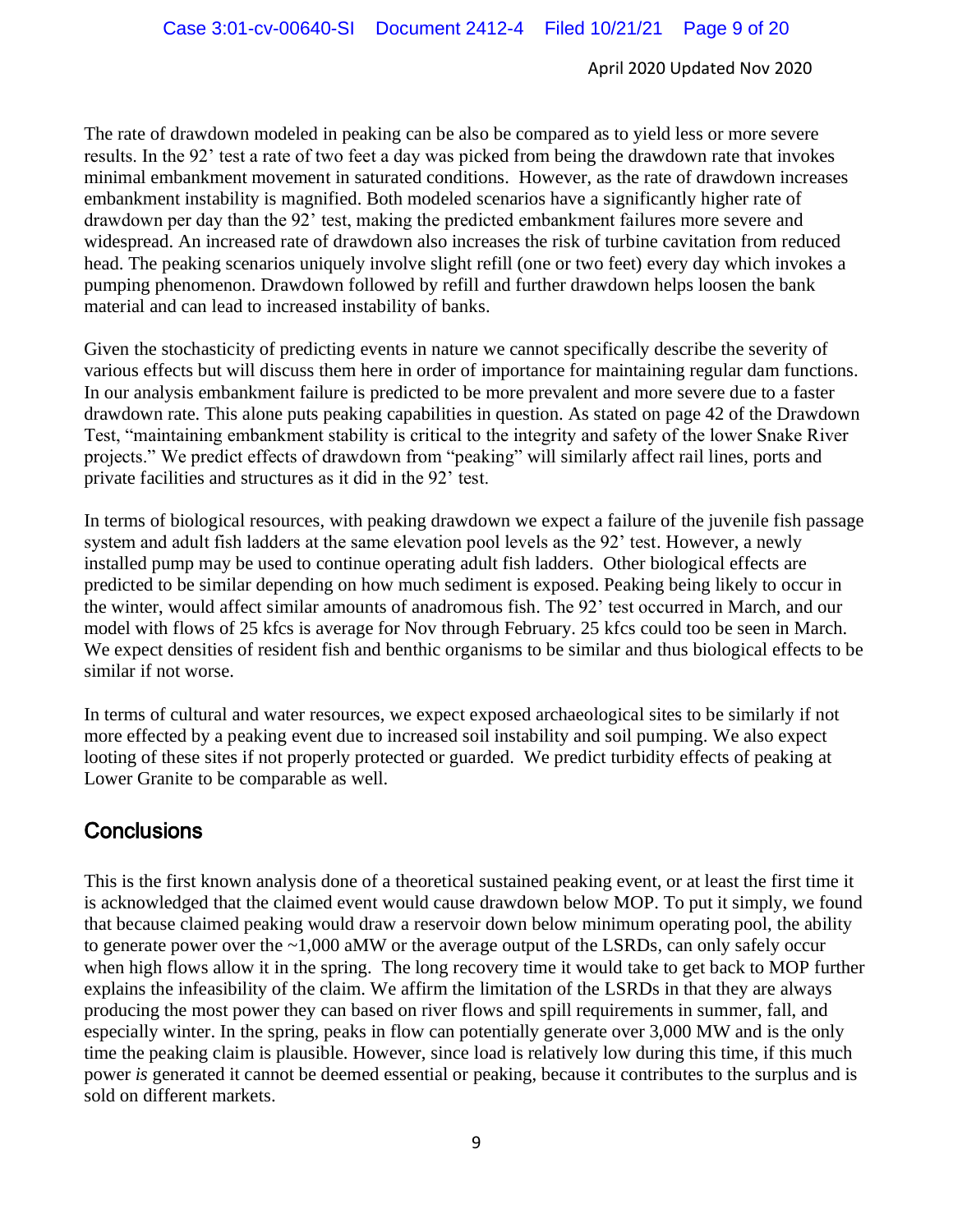The rate of drawdown modeled in peaking can be also be compared as to yield less or more severe results. In the 92' test a rate of two feet a day was picked from being the drawdown rate that invokes minimal embankment movement in saturated conditions. However, as the rate of drawdown increases embankment instability is magnified. Both modeled scenarios have a significantly higher rate of drawdown per day than the 92' test, making the predicted embankment failures more severe and widespread. An increased rate of drawdown also increases the risk of turbine cavitation from reduced head. The peaking scenarios uniquely involve slight refill (one or two feet) every day which invokes a pumping phenomenon. Drawdown followed by refill and further drawdown helps loosen the bank material and can lead to increased instability of banks.

Given the stochasticity of predicting events in nature we cannot specifically describe the severity of various effects but will discuss them here in order of importance for maintaining regular dam functions. In our analysis embankment failure is predicted to be more prevalent and more severe due to a faster drawdown rate. This alone puts peaking capabilities in question. As stated on page 42 of the Drawdown Test, "maintaining embankment stability is critical to the integrity and safety of the lower Snake River projects." We predict effects of drawdown from "peaking" will similarly affect rail lines, ports and private facilities and structures as it did in the 92' test.

In terms of biological resources, with peaking drawdown we expect a failure of the juvenile fish passage system and adult fish ladders at the same elevation pool levels as the 92' test. However, a newly installed pump may be used to continue operating adult fish ladders. Other biological effects are predicted to be similar depending on how much sediment is exposed. Peaking being likely to occur in the winter, would affect similar amounts of anadromous fish. The 92' test occurred in March, and our model with flows of 25 kfcs is average for Nov through February. 25 kfcs could too be seen in March. We expect densities of resident fish and benthic organisms to be similar and thus biological effects to be similar if not worse.

In terms of cultural and water resources, we expect exposed archaeological sites to be similarly if not more effected by a peaking event due to increased soil instability and soil pumping. We also expect looting of these sites if not properly protected or guarded. We predict turbidity effects of peaking at Lower Granite to be comparable as well.

### **Conclusions**

This is the first known analysis done of a theoretical sustained peaking event, or at least the first time it is acknowledged that the claimed event would cause drawdown below MOP. To put it simply, we found that because claimed peaking would draw a reservoir down below minimum operating pool, the ability to generate power over the ~1,000 aMW or the average output of the LSRDs, can only safely occur when high flows allow it in the spring. The long recovery time it would take to get back to MOP further explains the infeasibility of the claim. We affirm the limitation of the LSRDs in that they are always producing the most power they can based on river flows and spill requirements in summer, fall, and especially winter. In the spring, peaks in flow can potentially generate over 3,000 MW and is the only time the peaking claim is plausible. However, since load is relatively low during this time, if this much power *is* generated it cannot be deemed essential or peaking, because it contributes to the surplus and is sold on different markets.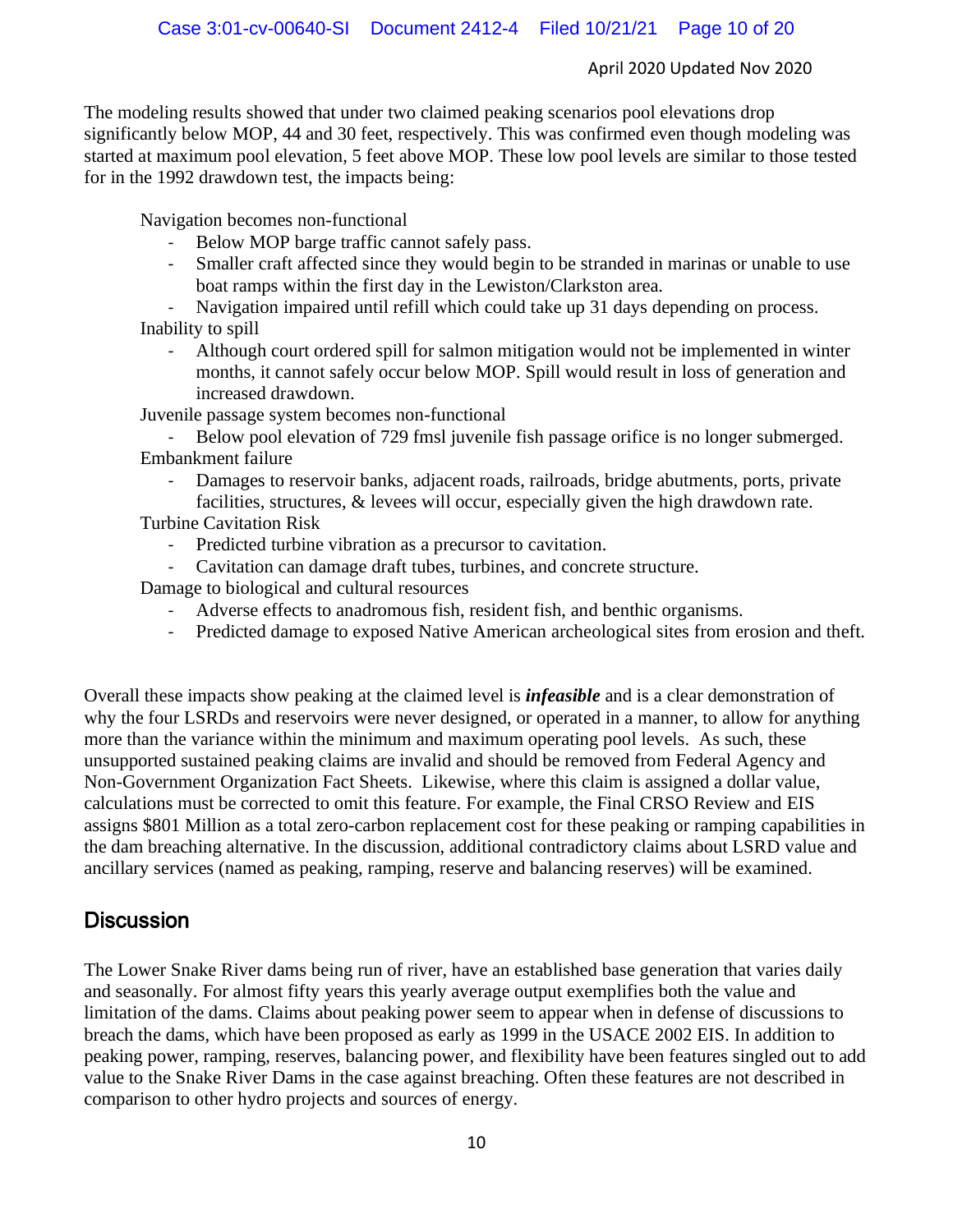The modeling results showed that under two claimed peaking scenarios pool elevations drop significantly below MOP, 44 and 30 feet, respectively. This was confirmed even though modeling was started at maximum pool elevation, 5 feet above MOP. These low pool levels are similar to those tested for in the 1992 drawdown test, the impacts being:

Navigation becomes non-functional

- Below MOP barge traffic cannot safely pass.
- Smaller craft affected since they would begin to be stranded in marinas or unable to use boat ramps within the first day in the Lewiston/Clarkston area.
- Navigation impaired until refill which could take up 31 days depending on process. Inability to spill
	- Although court ordered spill for salmon mitigation would not be implemented in winter months, it cannot safely occur below MOP. Spill would result in loss of generation and increased drawdown.

Juvenile passage system becomes non-functional

Below pool elevation of 729 fmsl juvenile fish passage orifice is no longer submerged. Embankment failure

- Damages to reservoir banks, adjacent roads, railroads, bridge abutments, ports, private facilities, structures, & levees will occur, especially given the high drawdown rate.

Turbine Cavitation Risk

- Predicted turbine vibration as a precursor to cavitation.
- Cavitation can damage draft tubes, turbines, and concrete structure.

Damage to biological and cultural resources

- Adverse effects to anadromous fish, resident fish, and benthic organisms.
- Predicted damage to exposed Native American archeological sites from erosion and theft.

Overall these impacts show peaking at the claimed level is *infeasible* and is a clear demonstration of why the four LSRDs and reservoirs were never designed, or operated in a manner, to allow for anything more than the variance within the minimum and maximum operating pool levels. As such, these unsupported sustained peaking claims are invalid and should be removed from Federal Agency and Non-Government Organization Fact Sheets. Likewise, where this claim is assigned a dollar value, calculations must be corrected to omit this feature. For example, the Final CRSO Review and EIS assigns \$801 Million as a total zero-carbon replacement cost for these peaking or ramping capabilities in the dam breaching alternative. In the discussion, additional contradictory claims about LSRD value and ancillary services (named as peaking, ramping, reserve and balancing reserves) will be examined.

### **Discussion**

The Lower Snake River dams being run of river, have an established base generation that varies daily and seasonally. For almost fifty years this yearly average output exemplifies both the value and limitation of the dams. Claims about peaking power seem to appear when in defense of discussions to breach the dams, which have been proposed as early as 1999 in the USACE 2002 EIS. In addition to peaking power, ramping, reserves, balancing power, and flexibility have been features singled out to add value to the Snake River Dams in the case against breaching. Often these features are not described in comparison to other hydro projects and sources of energy.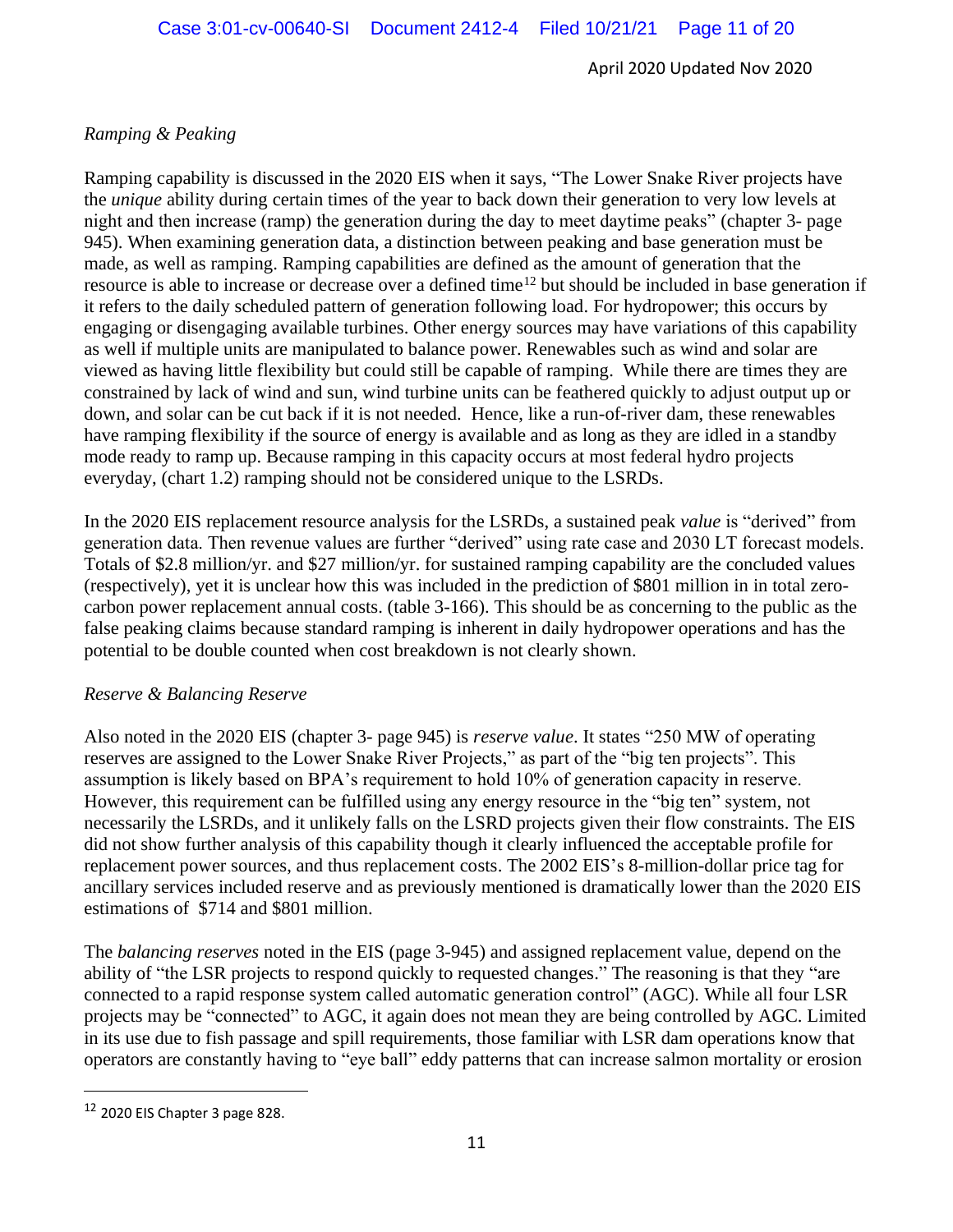### *Ramping & Peaking*

Ramping capability is discussed in the 2020 EIS when it says, "The Lower Snake River projects have the *unique* ability during certain times of the year to back down their generation to very low levels at night and then increase (ramp) the generation during the day to meet daytime peaks" (chapter 3- page 945). When examining generation data, a distinction between peaking and base generation must be made, as well as ramping. Ramping capabilities are defined as the amount of generation that the resource is able to increase or decrease over a defined time<sup>12</sup> but should be included in base generation if it refers to the daily scheduled pattern of generation following load. For hydropower; this occurs by engaging or disengaging available turbines. Other energy sources may have variations of this capability as well if multiple units are manipulated to balance power. Renewables such as wind and solar are viewed as having little flexibility but could still be capable of ramping. While there are times they are constrained by lack of wind and sun, wind turbine units can be feathered quickly to adjust output up or down, and solar can be cut back if it is not needed. Hence, like a run-of-river dam, these renewables have ramping flexibility if the source of energy is available and as long as they are idled in a standby mode ready to ramp up. Because ramping in this capacity occurs at most federal hydro projects everyday, (chart 1.2) ramping should not be considered unique to the LSRDs.

In the 2020 EIS replacement resource analysis for the LSRDs, a sustained peak *value* is "derived" from generation data. Then revenue values are further "derived" using rate case and 2030 LT forecast models. Totals of \$2.8 million/yr. and \$27 million/yr. for sustained ramping capability are the concluded values (respectively), yet it is unclear how this was included in the prediction of \$801 million in in total zerocarbon power replacement annual costs. (table 3-166). This should be as concerning to the public as the false peaking claims because standard ramping is inherent in daily hydropower operations and has the potential to be double counted when cost breakdown is not clearly shown.

### *Reserve & Balancing Reserve*

Also noted in the 2020 EIS (chapter 3- page 945) is *reserve value*. It states "250 MW of operating reserves are assigned to the Lower Snake River Projects," as part of the "big ten projects". This assumption is likely based on BPA's requirement to hold 10% of generation capacity in reserve. However, this requirement can be fulfilled using any energy resource in the "big ten" system, not necessarily the LSRDs, and it unlikely falls on the LSRD projects given their flow constraints. The EIS did not show further analysis of this capability though it clearly influenced the acceptable profile for replacement power sources, and thus replacement costs. The 2002 EIS's 8-million-dollar price tag for ancillary services included reserve and as previously mentioned is dramatically lower than the 2020 EIS estimations of \$714 and \$801 million.

The *balancing reserves* noted in the EIS (page 3-945) and assigned replacement value, depend on the ability of "the LSR projects to respond quickly to requested changes." The reasoning is that they "are connected to a rapid response system called automatic generation control" (AGC). While all four LSR projects may be "connected" to AGC, it again does not mean they are being controlled by AGC. Limited in its use due to fish passage and spill requirements, those familiar with LSR dam operations know that operators are constantly having to "eye ball" eddy patterns that can increase salmon mortality or erosion

<sup>12</sup> 2020 EIS Chapter 3 page 828.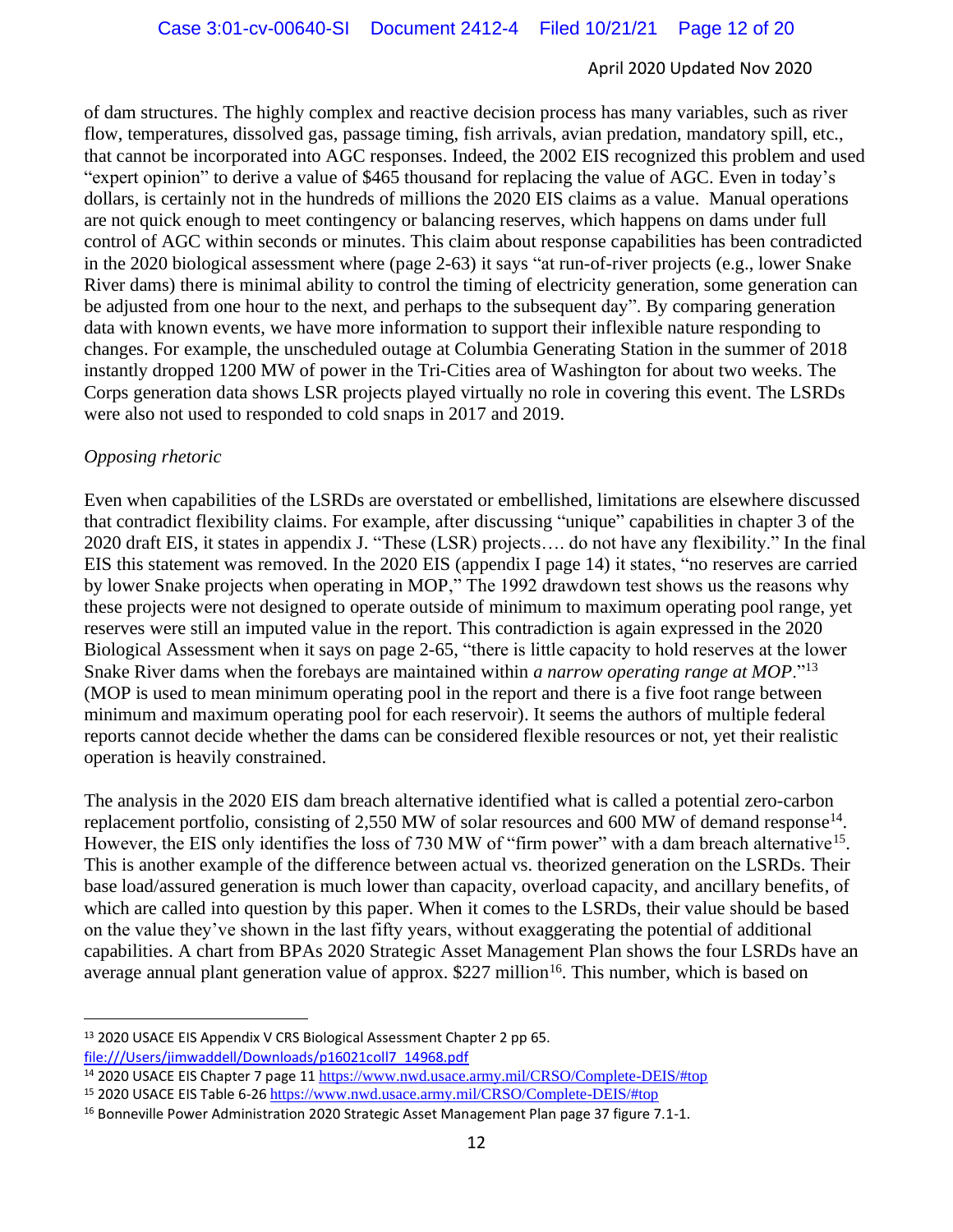of dam structures. The highly complex and reactive decision process has many variables, such as river flow, temperatures, dissolved gas, passage timing, fish arrivals, avian predation, mandatory spill, etc., that cannot be incorporated into AGC responses. Indeed, the 2002 EIS recognized this problem and used "expert opinion" to derive a value of \$465 thousand for replacing the value of AGC. Even in today's dollars, is certainly not in the hundreds of millions the 2020 EIS claims as a value. Manual operations are not quick enough to meet contingency or balancing reserves, which happens on dams under full control of AGC within seconds or minutes. This claim about response capabilities has been contradicted in the 2020 biological assessment where (page 2-63) it says "at run-of-river projects (e.g., lower Snake River dams) there is minimal ability to control the timing of electricity generation, some generation can be adjusted from one hour to the next, and perhaps to the subsequent day". By comparing generation data with known events, we have more information to support their inflexible nature responding to changes. For example, the unscheduled outage at Columbia Generating Station in the summer of 2018 instantly dropped 1200 MW of power in the Tri-Cities area of Washington for about two weeks. The Corps generation data shows LSR projects played virtually no role in covering this event. The LSRDs were also not used to responded to cold snaps in 2017 and 2019.

#### *Opposing rhetoric*

Even when capabilities of the LSRDs are overstated or embellished, limitations are elsewhere discussed that contradict flexibility claims. For example, after discussing "unique" capabilities in chapter 3 of the 2020 draft EIS, it states in appendix J. "These (LSR) projects…. do not have any flexibility." In the final EIS this statement was removed. In the 2020 EIS (appendix I page 14) it states, "no reserves are carried by lower Snake projects when operating in MOP," The 1992 drawdown test shows us the reasons why these projects were not designed to operate outside of minimum to maximum operating pool range, yet reserves were still an imputed value in the report. This contradiction is again expressed in the 2020 Biological Assessment when it says on page 2-65, "there is little capacity to hold reserves at the lower Snake River dams when the forebays are maintained within *a narrow operating range at MOP*."<sup>13</sup> (MOP is used to mean minimum operating pool in the report and there is a five foot range between minimum and maximum operating pool for each reservoir). It seems the authors of multiple federal reports cannot decide whether the dams can be considered flexible resources or not, yet their realistic operation is heavily constrained.

The analysis in the 2020 EIS dam breach alternative identified what is called a potential zero-carbon replacement portfolio, consisting of 2,550 MW of solar resources and 600 MW of demand response<sup>14</sup>. However, the EIS only identifies the loss of 730 MW of "firm power" with a dam breach alternative<sup>15</sup>. This is another example of the difference between actual vs. theorized generation on the LSRDs. Their base load/assured generation is much lower than capacity, overload capacity, and ancillary benefits, of which are called into question by this paper. When it comes to the LSRDs, their value should be based on the value they've shown in the last fifty years, without exaggerating the potential of additional capabilities. A chart from BPAs 2020 Strategic Asset Management Plan shows the four LSRDs have an average annual plant generation value of approx. \$227 million<sup>16</sup>. This number, which is based on

<sup>13</sup> 2020 USACE EIS Appendix V CRS Biological Assessment Chapter 2 pp 65. file:///Users/jimwaddell/Downloads/p16021coll7\_14968.pdf

<sup>14</sup> 2020 USACE EIS Chapter 7 page 11 https://www.nwd.usace.army.mil/CRSO/Complete-DEIS/#top

<sup>15</sup> 2020 USACE EIS Table 6-26 https://www.nwd.usace.army.mil/CRSO/Complete-DEIS/#top

<sup>&</sup>lt;sup>16</sup> Bonneville Power Administration 2020 Strategic Asset Management Plan page 37 figure 7.1-1.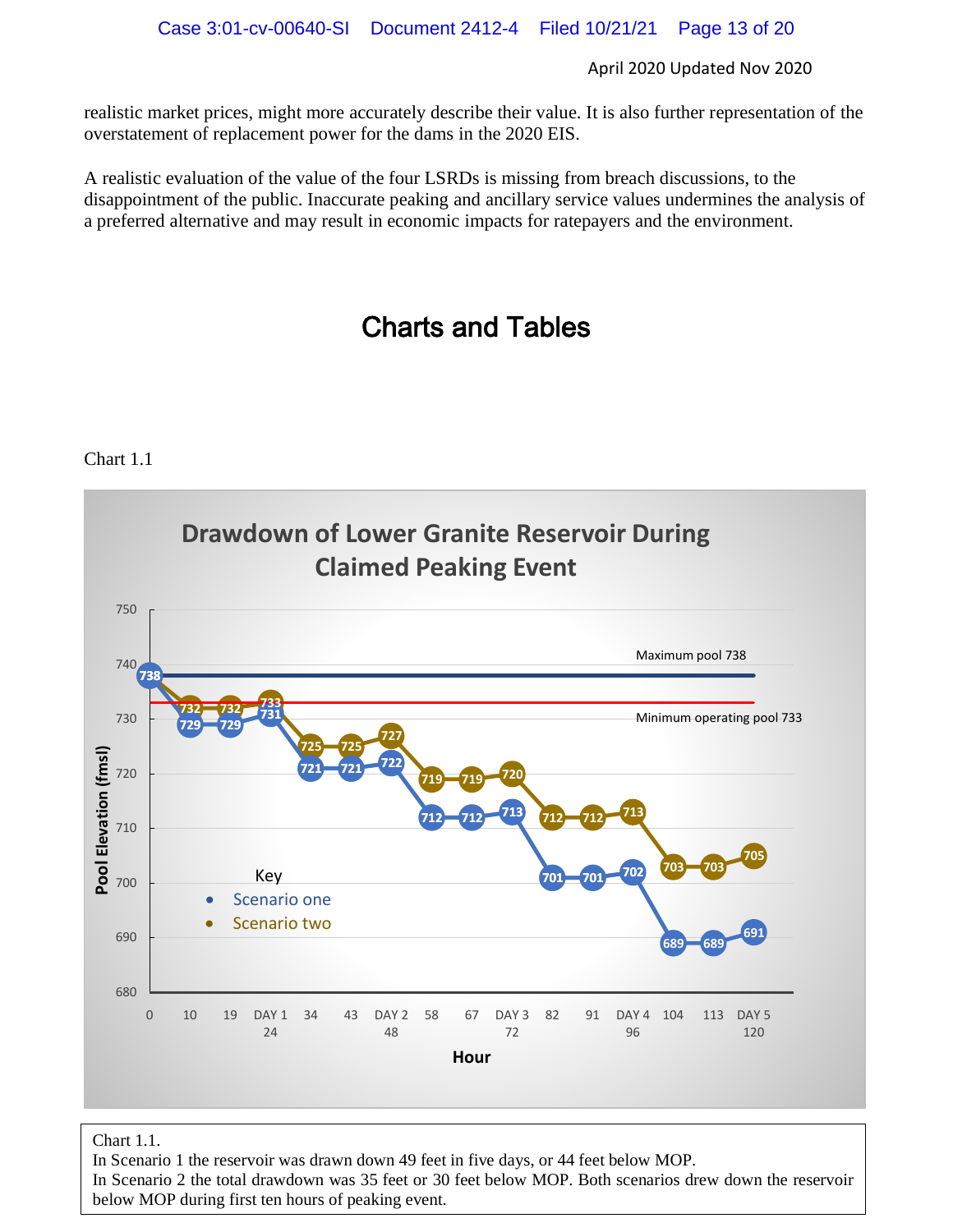realistic market prices, might more accurately describe their value. It is also further representation of the overstatement of replacement power for the dams in the 2020 EIS.

A realistic evaluation of the value of the four LSRDs is missing from breach discussions, to the disappointment of the public. Inaccurate peaking and ancillary service values undermines the analysis of a preferred alternative and may result in economic impacts for ratepayers and the environment.

# Charts and Tables

#### Chart 1.1



#### Chart 1.1.

In Scenario 1 the reservoir was drawn down 49 feet in five days, or 44 feet below MOP.

In Scenario 2 the total drawdown was 35 feet or 30 feet below MOP. Both scenarios drew down the reservoir below MOP during first ten hours of peaking event.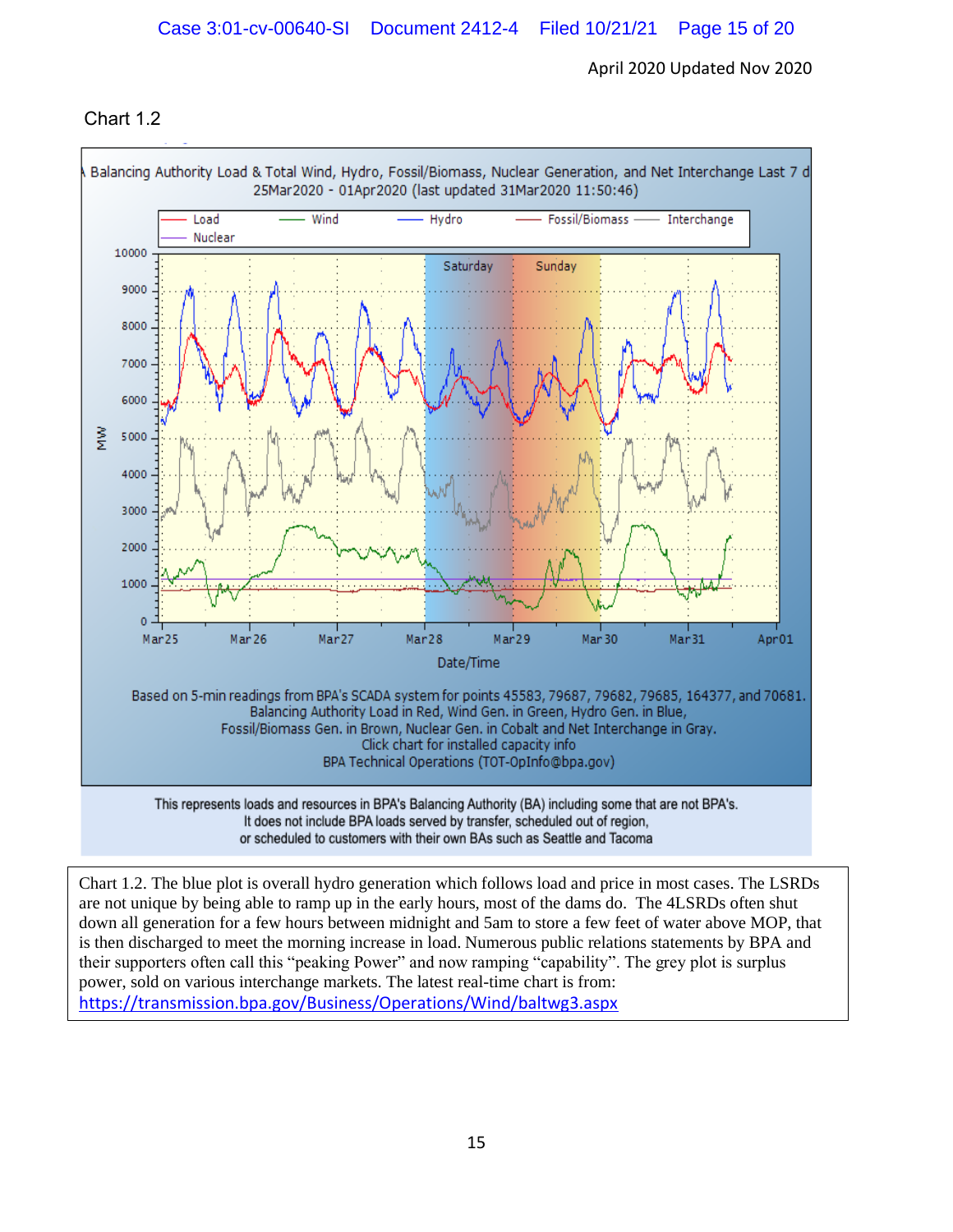### Chart 1.2



It does not include BPA loads served by transfer, scheduled out of region, or scheduled to customers with their own BAs such as Seattle and Tacoma

Chart 1.2. The blue plot is overall hydro generation which follows load and price in most cases. The LSRDs are not unique by being able to ramp up in the early hours, most of the dams do. The 4LSRDs often shut down all generation for a few hours between midnight and 5am to store a few feet of water above MOP, that is then discharged to meet the morning increase in load. Numerous public relations statements by BPA and their supporters often call this "peaking Power" and now ramping "capability". The grey plot is surplus power, sold on various interchange markets. The latest real-time chart is from: https://transmission.bpa.gov/Business/Operations/Wind/baltwg3.aspx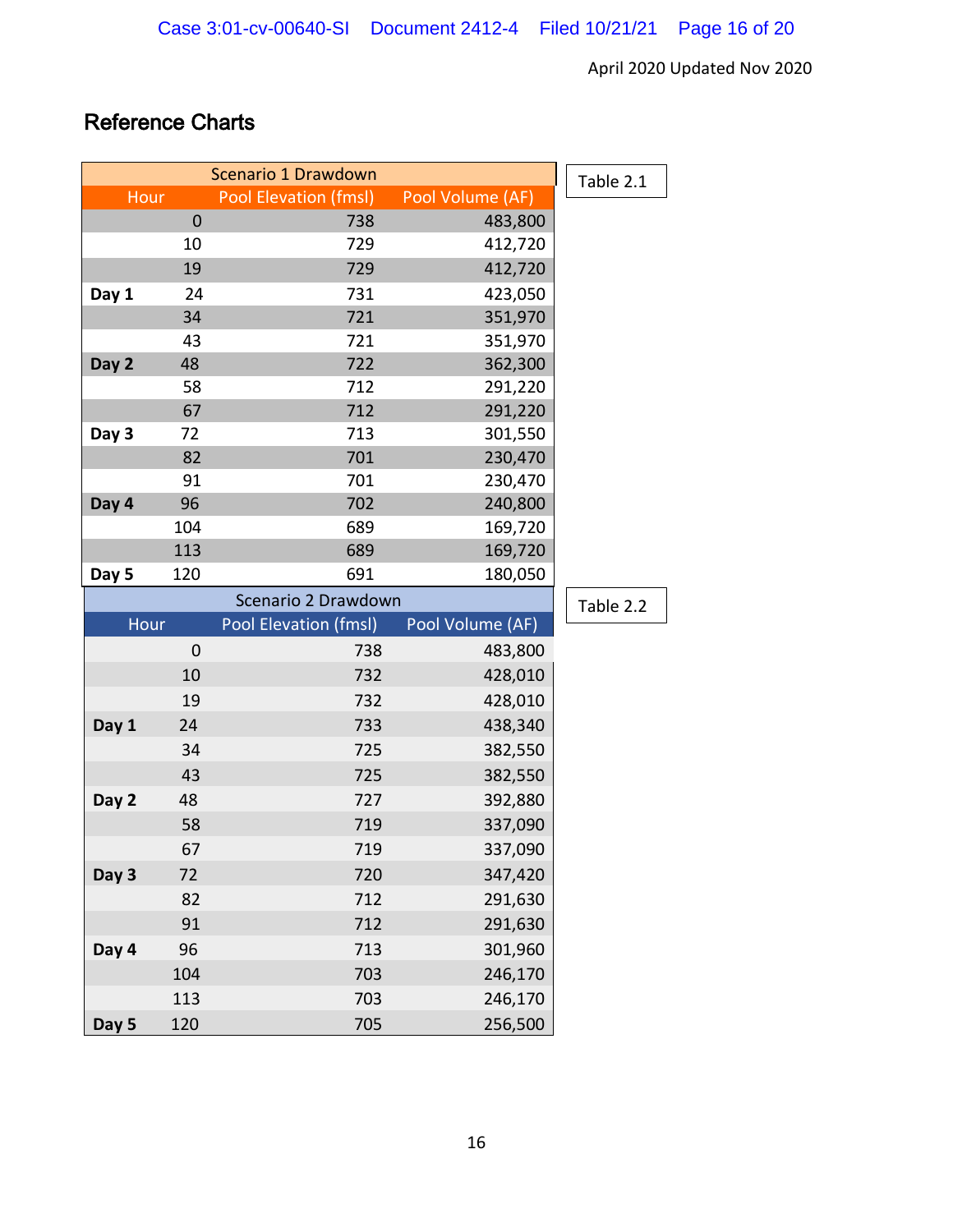# Reference Charts

|       | Table 2.1   |                       |                    |           |
|-------|-------------|-----------------------|--------------------|-----------|
| Hour  |             | Pool Elevation (fmsl) | Pool Volume (AF)   |           |
|       | $\mathbf 0$ | 738                   | 483,800            |           |
|       | 10          | 729                   | 412,720            |           |
|       | 19          | 729                   | 412,720            |           |
| Day 1 | 24          | 731                   | 423,050            |           |
|       | 34          | 721                   | 351,970            |           |
|       | 43          | 721                   | 351,970            |           |
| Day 2 | 48          | 722                   | 362,300            |           |
|       | 58          | 712                   | 291,220            |           |
|       | 67          | 712                   | 291,220            |           |
| Day 3 | 72          | 713                   | 301,550            |           |
|       | 82          | 701                   | 230,470            |           |
|       | 91          | 701                   | 230,470            |           |
| Day 4 | 96          | 702                   | 240,800            |           |
|       | 104         | 689                   | 169,720            |           |
|       | 113         | 689                   | 169,720            |           |
| Day 5 | 120         | 691                   | 180,050            |           |
|       |             | Scenario 2 Drawdown   |                    | Table 2.2 |
|       |             |                       |                    |           |
| Hour  |             | Pool Elevation (fmsl) | Pool Volume (AF)   |           |
|       | $\mathbf 0$ | 738                   | 483,800            |           |
|       | 10          | 732                   | 428,010            |           |
|       | 19          | 732                   | 428,010            |           |
| Day 1 | 24          | 733                   | 438,340            |           |
|       | 34          | 725                   | 382,550            |           |
|       | 43          | 725                   | 382,550            |           |
| Day 2 | 48          | 727                   | 392,880            |           |
|       | 58          | 719                   | 337,090            |           |
|       | 67          | 719                   | 337,090            |           |
| Day 3 | 72          | 720                   | 347,420            |           |
|       | 82          | 712                   | 291,630            |           |
|       | 91          | 712                   | 291,630            |           |
| Day 4 | 96          | 713                   | 301,960            |           |
|       | 104         | 703                   |                    |           |
|       | 113         | 703                   | 246,170<br>246,170 |           |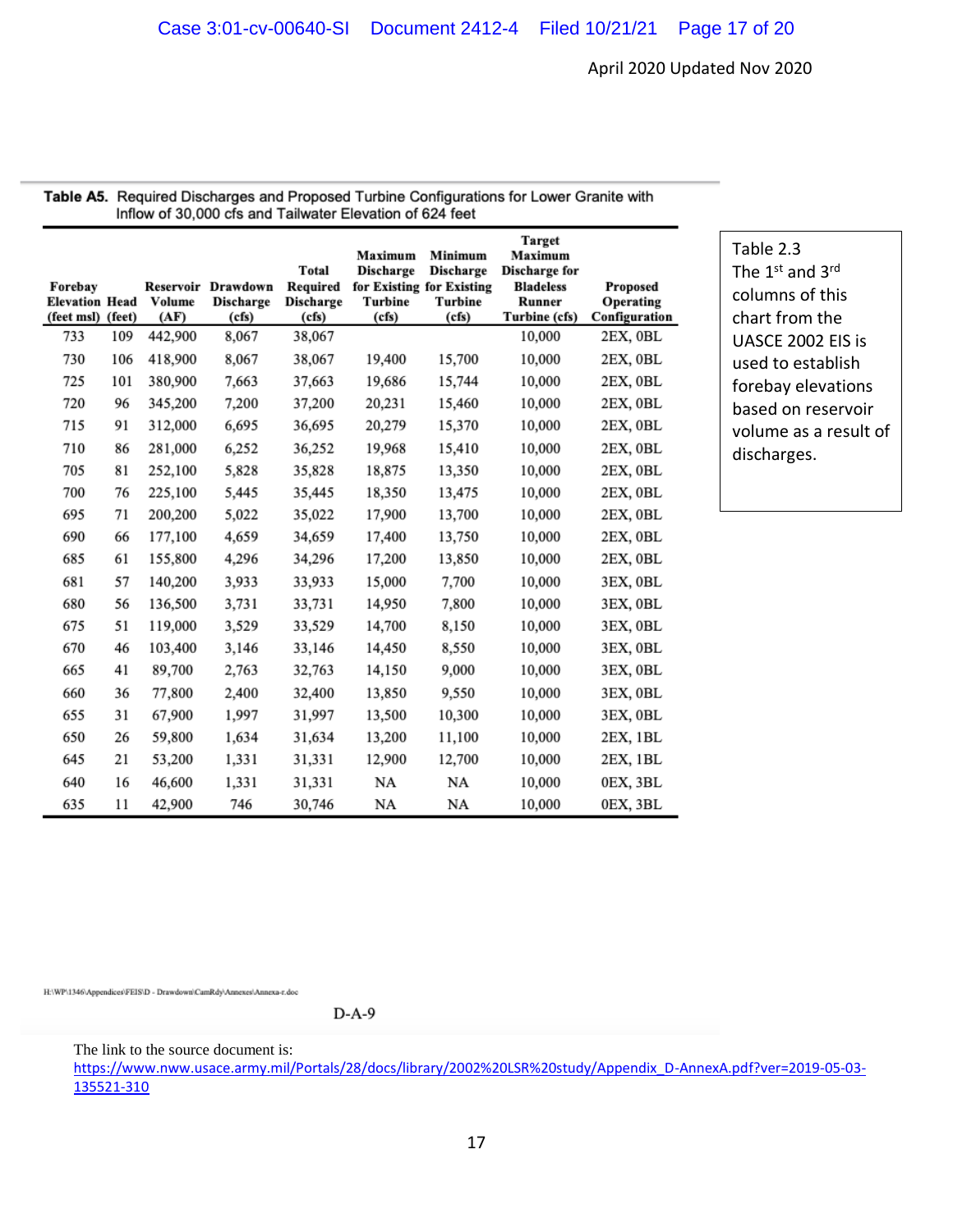| Inflow of 30,000 cfs and Tailwater Elevation of 624 feet |     |                |                                                 |                                                |                                                 |                                                                              |                                                                                          |                                        |  |
|----------------------------------------------------------|-----|----------------|-------------------------------------------------|------------------------------------------------|-------------------------------------------------|------------------------------------------------------------------------------|------------------------------------------------------------------------------------------|----------------------------------------|--|
| Forebay<br><b>Elevation Head</b><br>(feet msl) (feet)    |     | Volume<br>(AF) | Reservoir Drawdown<br><b>Discharge</b><br>(cfs) | Total<br>Required<br><b>Discharge</b><br>(cfs) | Maximum<br><b>Discharge</b><br>Turbine<br>(cfs) | Minimum<br><b>Discharge</b><br>for Existing for Existing<br>Turbine<br>(cfs) | <b>Target</b><br>Maximum<br>Discharge for<br><b>Bladeless</b><br>Runner<br>Turbine (cfs) | Proposed<br>Operating<br>Configuration |  |
| 733                                                      | 109 | 442,900        | 8,067                                           | 38,067                                         |                                                 |                                                                              | 10,000                                                                                   | 2EX, OBL                               |  |
| 730                                                      | 106 | 418,900        | 8,067                                           | 38,067                                         | 19,400                                          | 15,700                                                                       | 10,000                                                                                   | 2EX, 0BL                               |  |
| 725                                                      | 101 | 380,900        | 7,663                                           | 37,663                                         | 19,686                                          | 15,744                                                                       | 10,000                                                                                   | 2EX, 0BL                               |  |
| 720                                                      | 96  | 345,200        | 7,200                                           | 37,200                                         | 20,231                                          | 15,460                                                                       | 10,000                                                                                   | 2EX, OBL                               |  |
| 715                                                      | 91  | 312,000        | 6,695                                           | 36,695                                         | 20,279                                          | 15,370                                                                       | 10,000                                                                                   | 2EX, OBL                               |  |
| 710                                                      | 86  | 281,000        | 6,252                                           | 36,252                                         | 19,968                                          | 15,410                                                                       | 10,000                                                                                   | 2EX, OBL                               |  |
| 705                                                      | 81  | 252,100        | 5,828                                           | 35,828                                         | 18,875                                          | 13,350                                                                       | 10,000                                                                                   | 2EX, OBL                               |  |
| 700                                                      | 76  | 225,100        | 5,445                                           | 35,445                                         | 18,350                                          | 13,475                                                                       | 10,000                                                                                   | 2EX, 0BL                               |  |
| 695                                                      | 71  | 200,200        | 5,022                                           | 35,022                                         | 17,900                                          | 13,700                                                                       | 10,000                                                                                   | 2EX, OBL                               |  |
| 690                                                      | 66  | 177,100        | 4,659                                           | 34,659                                         | 17,400                                          | 13,750                                                                       | 10,000                                                                                   | 2EX, OBL                               |  |
| 685                                                      | 61  | 155,800        | 4,296                                           | 34,296                                         | 17,200                                          | 13,850                                                                       | 10,000                                                                                   | 2EX, OBL                               |  |
| 681                                                      | 57  | 140,200        | 3,933                                           | 33,933                                         | 15,000                                          | 7,700                                                                        | 10,000                                                                                   | 3EX, OBL                               |  |
| 680                                                      | 56  | 136,500        | 3,731                                           | 33,731                                         | 14,950                                          | 7,800                                                                        | 10,000                                                                                   | 3EX, OBL                               |  |
| 675                                                      | 51  | 119,000        | 3,529                                           | 33,529                                         | 14,700                                          | 8,150                                                                        | 10,000                                                                                   | 3EX, OBL                               |  |
| 670                                                      | 46  | 103,400        | 3,146                                           | 33,146                                         | 14,450                                          | 8,550                                                                        | 10,000                                                                                   | 3EX, OBL                               |  |
| 665                                                      | 41  | 89,700         | 2,763                                           | 32,763                                         | 14,150                                          | 9,000                                                                        | 10,000                                                                                   | 3EX, OBL                               |  |
| 660                                                      | 36  | 77,800         | 2,400                                           | 32,400                                         | 13,850                                          | 9,550                                                                        | 10,000                                                                                   | 3EX, OBL                               |  |
| 655                                                      | 31  | 67,900         | 1,997                                           | 31,997                                         | 13,500                                          | 10,300                                                                       | 10,000                                                                                   | 3EX, OBL                               |  |
| 650                                                      | 26  | 59,800         | 1,634                                           | 31,634                                         | 13,200                                          | 11,100                                                                       | 10,000                                                                                   | 2EX, 1BL                               |  |
| 645                                                      | 21  | 53,200         | 1,331                                           | 31,331                                         | 12,900                                          | 12,700                                                                       | 10,000                                                                                   | 2EX, 1BL                               |  |
| 640                                                      | 16  | 46,600         | 1,331                                           | 31,331                                         | NA                                              | NA                                                                           | 10,000                                                                                   | 0EX, 3BL                               |  |
| 635                                                      | 11  | 42,900         | 746                                             | 30,746                                         | NA                                              | NA                                                                           | 10,000                                                                                   | 0EX, 3BL                               |  |

Table A5. Required Discharges and Proposed Turbine Configurations for Lower Granite with  $50000$ 

> Table 2.3 The 1<sup>st</sup> and 3<sup>rd</sup> columns of this chart from the UASCE 2002 EIS is used to establish forebay elevations based on reservoir volume as a result of discharges.

 $D-A-9$ 

The link to the source document is:

https://www.nww.usace.army.mil/Portals/28/docs/library/2002%20LSR%20study/Appendix\_D-AnnexA.pdf?ver=2019-05-03- 135521-310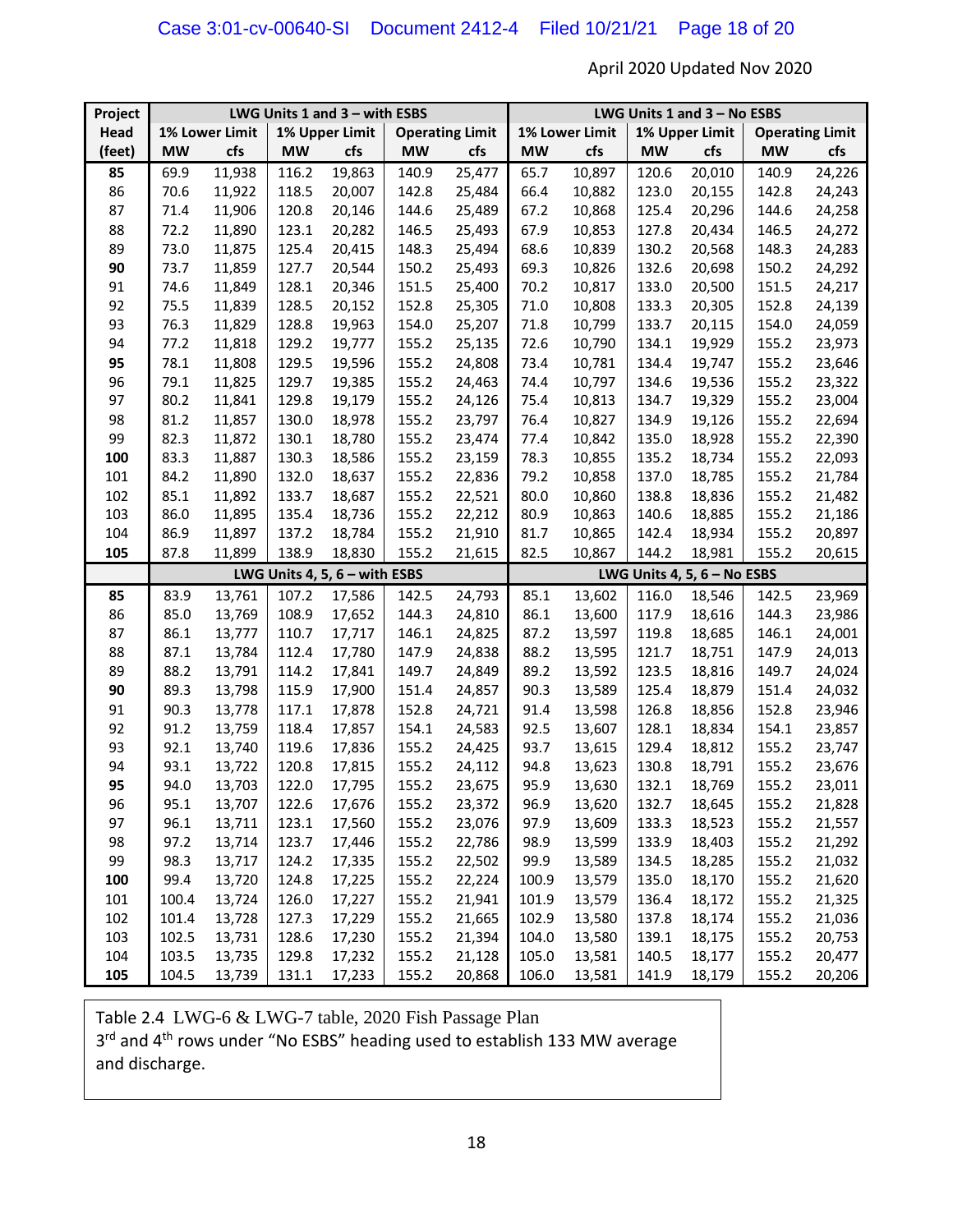| Project | LWG Units 1 and 3 - with ESBS    |        |                        |                                 |                | LWG Units 1 and 3 - No ESBS |                               |        |                        |        |           |        |
|---------|----------------------------------|--------|------------------------|---------------------------------|----------------|-----------------------------|-------------------------------|--------|------------------------|--------|-----------|--------|
| Head    | 1% Lower Limit<br>1% Upper Limit |        | <b>Operating Limit</b> |                                 | 1% Lower Limit |                             | 1% Upper Limit                |        | <b>Operating Limit</b> |        |           |        |
| (feet)  | <b>MW</b>                        | cfs    | <b>MW</b>              | cfs                             | <b>MW</b>      | cfs                         | <b>MW</b>                     | cfs    | <b>MW</b>              | cfs    | <b>MW</b> | cfs    |
| 85      | 69.9                             | 11,938 | 116.2                  | 19,863                          | 140.9          | 25,477                      | 65.7                          | 10,897 | 120.6                  | 20,010 | 140.9     | 24,226 |
| 86      | 70.6                             | 11,922 | 118.5                  | 20,007                          | 142.8          | 25,484                      | 66.4                          | 10,882 | 123.0                  | 20,155 | 142.8     | 24,243 |
| 87      | 71.4                             | 11,906 | 120.8                  | 20,146                          | 144.6          | 25,489                      | 67.2                          | 10,868 | 125.4                  | 20,296 | 144.6     | 24,258 |
| 88      | 72.2                             | 11,890 | 123.1                  | 20,282                          | 146.5          | 25,493                      | 67.9                          | 10,853 | 127.8                  | 20,434 | 146.5     | 24,272 |
| 89      | 73.0                             | 11,875 | 125.4                  | 20,415                          | 148.3          | 25,494                      | 68.6                          | 10,839 | 130.2                  | 20,568 | 148.3     | 24,283 |
| 90      | 73.7                             | 11,859 | 127.7                  | 20,544                          | 150.2          | 25,493                      | 69.3                          | 10,826 | 132.6                  | 20,698 | 150.2     | 24,292 |
| 91      | 74.6                             | 11,849 | 128.1                  | 20,346                          | 151.5          | 25,400                      | 70.2                          | 10,817 | 133.0                  | 20,500 | 151.5     | 24,217 |
| 92      | 75.5                             | 11,839 | 128.5                  | 20,152                          | 152.8          | 25,305                      | 71.0                          | 10,808 | 133.3                  | 20,305 | 152.8     | 24,139 |
| 93      | 76.3                             | 11,829 | 128.8                  | 19,963                          | 154.0          | 25,207                      | 71.8                          | 10,799 | 133.7                  | 20,115 | 154.0     | 24,059 |
| 94      | 77.2                             | 11,818 | 129.2                  | 19,777                          | 155.2          | 25,135                      | 72.6                          | 10,790 | 134.1                  | 19,929 | 155.2     | 23,973 |
| 95      | 78.1                             | 11,808 | 129.5                  | 19,596                          | 155.2          | 24,808                      | 73.4                          | 10,781 | 134.4                  | 19,747 | 155.2     | 23,646 |
| 96      | 79.1                             | 11,825 | 129.7                  | 19,385                          | 155.2          | 24,463                      | 74.4                          | 10,797 | 134.6                  | 19,536 | 155.2     | 23,322 |
| 97      | 80.2                             | 11,841 | 129.8                  | 19,179                          | 155.2          | 24,126                      | 75.4                          | 10,813 | 134.7                  | 19,329 | 155.2     | 23,004 |
| 98      | 81.2                             | 11,857 | 130.0                  | 18,978                          | 155.2          | 23,797                      | 76.4                          | 10,827 | 134.9                  | 19,126 | 155.2     | 22,694 |
| 99      | 82.3                             | 11,872 | 130.1                  | 18,780                          | 155.2          | 23,474                      | 77.4                          | 10,842 | 135.0                  | 18,928 | 155.2     | 22,390 |
| 100     | 83.3                             | 11,887 | 130.3                  | 18,586                          | 155.2          | 23,159                      | 78.3                          | 10,855 | 135.2                  | 18,734 | 155.2     | 22,093 |
| 101     | 84.2                             | 11,890 | 132.0                  | 18,637                          | 155.2          | 22,836                      | 79.2                          | 10,858 | 137.0                  | 18,785 | 155.2     | 21,784 |
| 102     | 85.1                             | 11,892 | 133.7                  | 18,687                          | 155.2          | 22,521                      | 80.0                          | 10,860 | 138.8                  | 18,836 | 155.2     | 21,482 |
| 103     | 86.0                             | 11,895 | 135.4                  | 18,736                          | 155.2          | 22,212                      | 80.9                          | 10,863 | 140.6                  | 18,885 | 155.2     | 21,186 |
| 104     | 86.9                             | 11,897 | 137.2                  | 18,784                          | 155.2          | 21,910                      | 81.7                          | 10,865 | 142.4                  | 18,934 | 155.2     | 20,897 |
| 105     | 87.8                             | 11,899 | 138.9                  | 18,830                          | 155.2          | 21,615                      | 82.5                          | 10,867 | 144.2                  | 18,981 | 155.2     | 20,615 |
|         |                                  |        |                        | LWG Units 4, 5, $6 -$ with ESBS |                |                             | LWG Units 4, 5, $6 - No$ ESBS |        |                        |        |           |        |
| 85      | 83.9                             | 13,761 | 107.2                  | 17,586                          | 142.5          | 24,793                      | 85.1                          | 13,602 | 116.0                  | 18,546 | 142.5     | 23,969 |
| 86      | 85.0                             | 13,769 | 108.9                  | 17,652                          | 144.3          | 24,810                      | 86.1                          | 13,600 | 117.9                  | 18,616 | 144.3     | 23,986 |
| 87      | 86.1                             | 13,777 | 110.7                  | 17,717                          | 146.1          | 24,825                      | 87.2                          | 13,597 | 119.8                  | 18,685 | 146.1     | 24,001 |
| 88      | 87.1                             | 13,784 | 112.4                  | 17,780                          | 147.9          | 24,838                      | 88.2                          | 13,595 | 121.7                  | 18,751 | 147.9     | 24,013 |
| 89      | 88.2                             | 13,791 | 114.2                  | 17,841                          | 149.7          | 24,849                      | 89.2                          | 13,592 | 123.5                  | 18,816 | 149.7     | 24,024 |
| 90      | 89.3                             | 13,798 | 115.9                  | 17,900                          | 151.4          | 24,857                      | 90.3                          | 13,589 | 125.4                  | 18,879 | 151.4     | 24,032 |
| 91      | 90.3                             | 13,778 | 117.1                  | 17,878                          | 152.8          | 24,721                      | 91.4                          | 13,598 | 126.8                  | 18,856 | 152.8     | 23,946 |
| 92      | 91.2                             | 13,759 | 118.4                  | 17,857                          | 154.1          | 24,583                      | 92.5                          | 13,607 | 128.1                  | 18,834 | 154.1     | 23,857 |
| 93      | 92.1                             | 13,740 | 119.6                  | 17,836                          | 155.2          | 24,425                      | 93.7                          | 13,615 | 129.4                  | 18,812 | 155.2     | 23,747 |
| 94      | 93.1                             | 13,722 | 120.8                  | 17,815                          | 155.2          | 24,112                      | 94.8                          | 13,623 | 130.8                  | 18,791 | 155.2     | 23,676 |
| 95      | 94.0                             | 13,703 | 122.0                  | 17,795                          | 155.2          | 23,675                      | 95.9                          | 13,630 | 132.1                  | 18,769 | 155.2     | 23,011 |
| 96      | 95.1                             | 13,707 | 122.6                  | 17,676                          | 155.2          | 23,372                      | 96.9                          | 13,620 | 132.7                  | 18,645 | 155.2     | 21,828 |
| 97      | 96.1                             | 13,711 | 123.1                  | 17,560                          | 155.2          | 23,076                      | 97.9                          | 13,609 | 133.3                  | 18,523 | 155.2     | 21,557 |
| 98      | 97.2                             | 13,714 | 123.7                  | 17,446                          | 155.2          | 22,786                      | 98.9                          | 13,599 | 133.9                  | 18,403 | 155.2     | 21,292 |
| 99      | 98.3                             | 13,717 | 124.2                  | 17,335                          | 155.2          | 22,502                      | 99.9                          | 13,589 | 134.5                  | 18,285 | 155.2     | 21,032 |
| 100     | 99.4                             | 13,720 | 124.8                  | 17,225                          | 155.2          | 22,224                      | 100.9                         | 13,579 | 135.0                  | 18,170 | 155.2     | 21,620 |
| 101     | 100.4                            | 13,724 | 126.0                  | 17,227                          | 155.2          | 21,941                      | 101.9                         | 13,579 | 136.4                  | 18,172 | 155.2     | 21,325 |
| 102     | 101.4                            | 13,728 | 127.3                  | 17,229                          | 155.2          | 21,665                      | 102.9                         | 13,580 | 137.8                  | 18,174 | 155.2     | 21,036 |
| 103     | 102.5                            | 13,731 | 128.6                  | 17,230                          | 155.2          | 21,394                      | 104.0                         | 13,580 | 139.1                  | 18,175 | 155.2     | 20,753 |
| 104     | 103.5                            | 13,735 | 129.8                  | 17,232                          | 155.2          | 21,128                      | 105.0                         | 13,581 | 140.5                  | 18,177 | 155.2     | 20,477 |
| 105     | 104.5                            | 13,739 | 131.1                  | 17,233                          | 155.2          | 20,868                      | 106.0                         | 13,581 | 141.9                  | 18,179 | 155.2     | 20,206 |

Table 2.4 LWG-6 & LWG-7 table, 2020 Fish Passage Plan 3<sup>rd</sup> and 4<sup>th</sup> rows under "No ESBS" heading used to establish 133 MW average and discharge.

 $\overline{\phantom{a}}$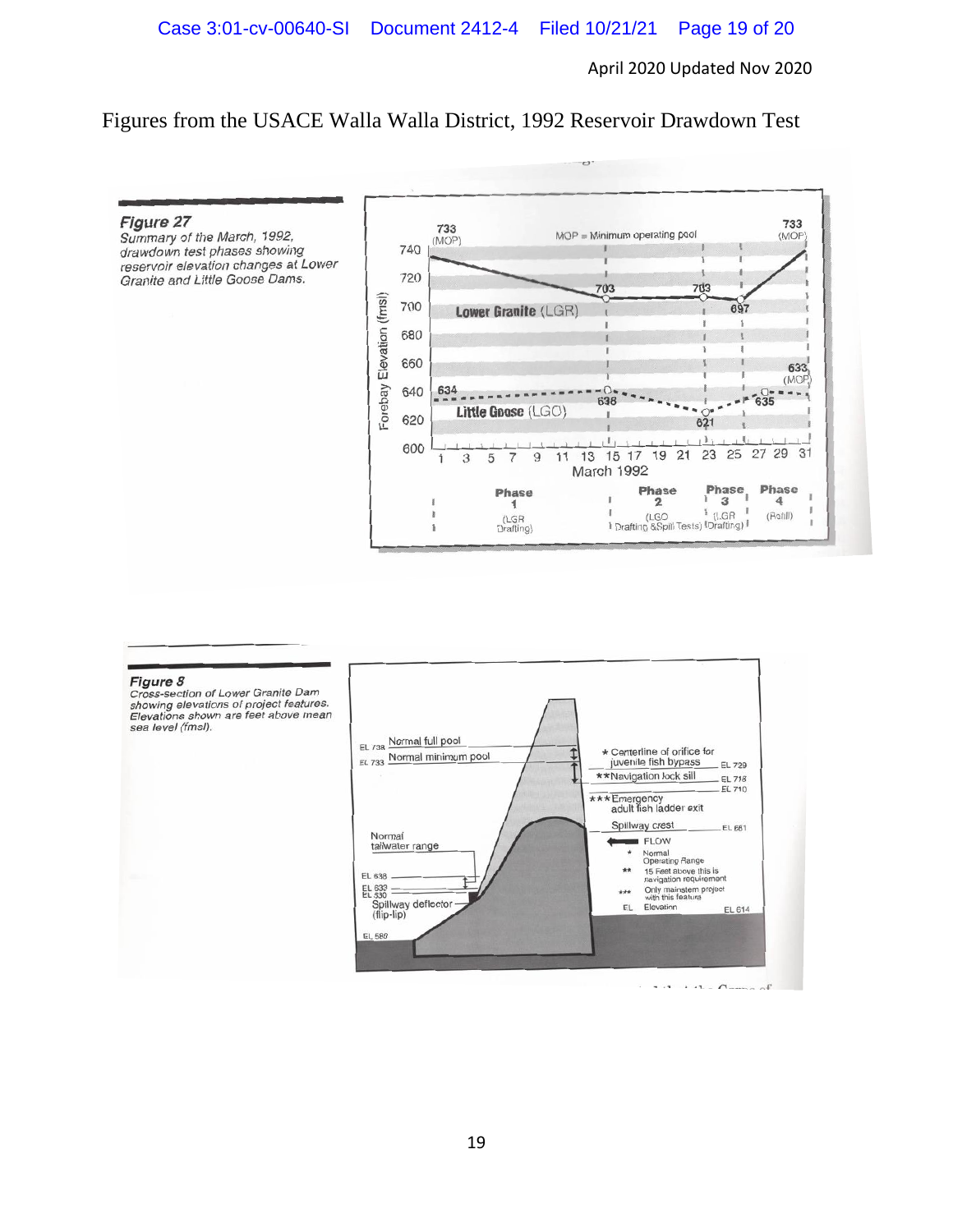Figures from the USACE Walla Walla District, 1992 Reservoir Drawdown Test

#### Figure 27

Summary of the March, 1992, drawdown test phases showing reservoir elevation changes at Lower Granite and Little Goose Dams.



#### Figure 8

Cross-section of Lower Granite Dam Cross-section of Lower Gramle Dam<br>showing elevations of project features.<br>Elevations shown are feet above mean sea level (fmsl).



 $1.1 + 4h \cdot$  Compa of